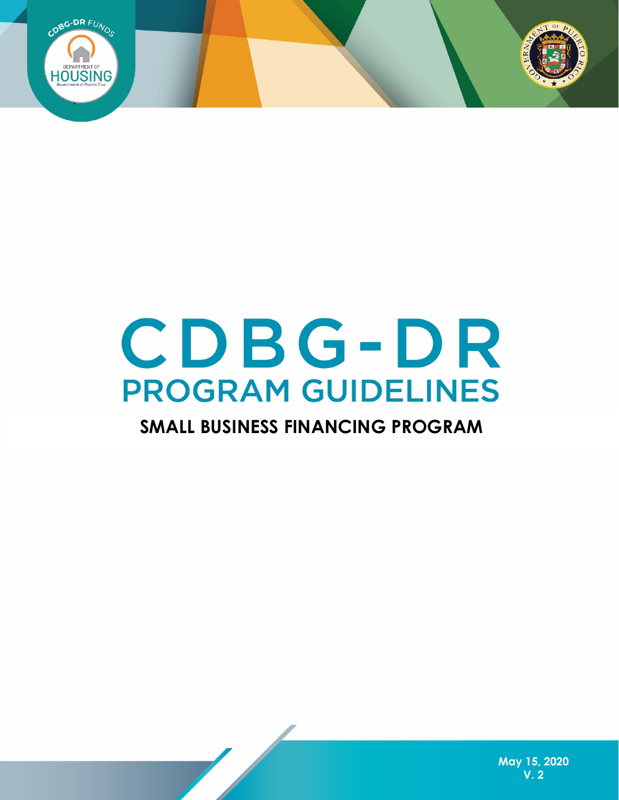



# CDBG-DR **PROGRAM GUIDELINES**

# **SMALL BUSINESS FINANCING PROGRAM**

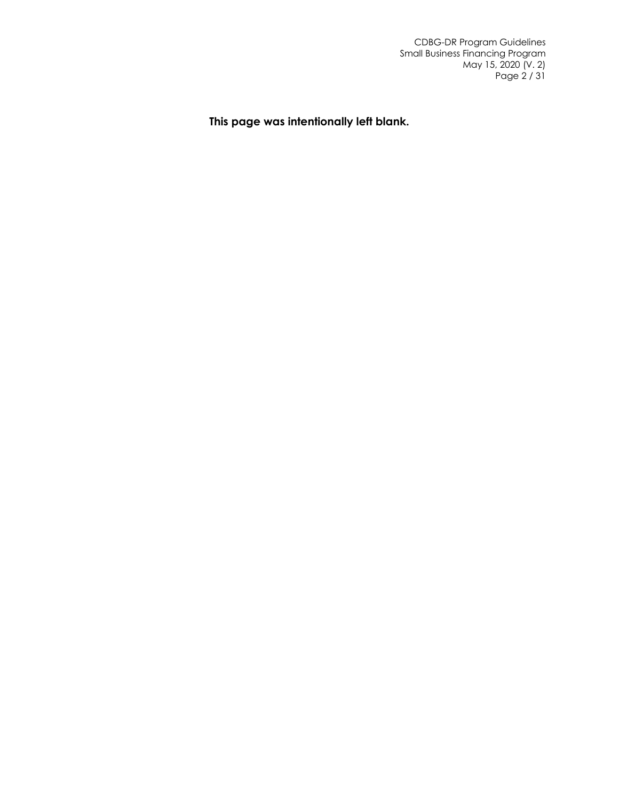CDBG-DR Program Guidelines Small Business Financing Program May 15, 2020 (V. 2) Page 2 / 31

**This page was intentionally left blank.**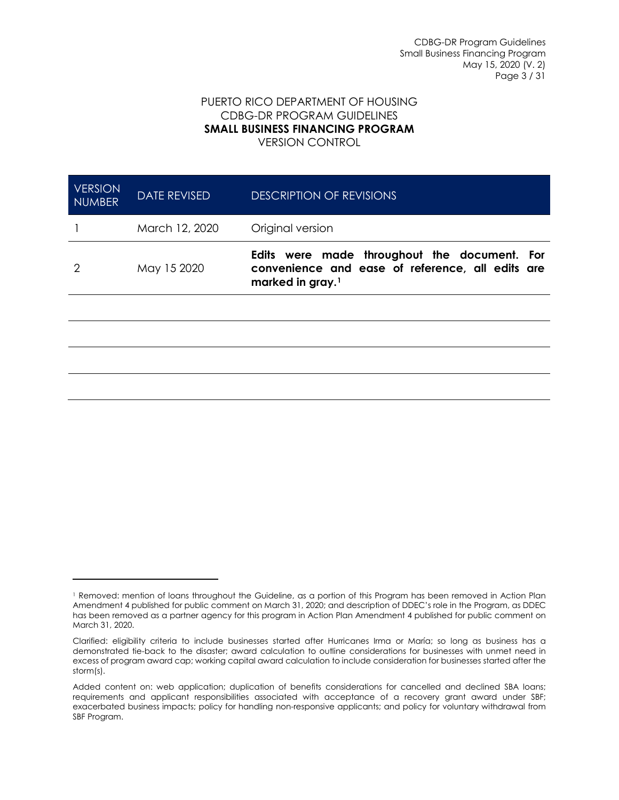CDBG-DR Program Guidelines Small Business Financing Program May 15, 2020 (V. 2) Page 3 / 31

#### PUERTO RICO DEPARTMENT OF HOUSING CDBG-DR PROGRAM GUIDELINES **SMALL BUSINESS FINANCING PROGRAM** VERSION CONTROL

**VERSION NUMBER DATE REVISED DESCRIPTION OF REVISIONS** 1 March 12, 2020 Original version 2 May 15 2020 **Edits were made throughout the document. For convenience and ease of reference, all edits are marked in gray.[1](#page-2-0)**

 $\overline{a}$ 

<span id="page-2-0"></span><sup>1</sup> Removed: mention of loans throughout the Guideline, as a portion of this Program has been removed in Action Plan Amendment 4 published for public comment on March 31, 2020; and description of DDEC's role in the Program, as DDEC has been removed as a partner agency for this program in Action Plan Amendment 4 published for public comment on March 31, 2020.

Clarified: eligibility criteria to include businesses started after Hurricanes Irma or María; so long as business has a demonstrated tie-back to the disaster; award calculation to outline considerations for businesses with unmet need in excess of program award cap; working capital award calculation to include consideration for businesses started after the storm(s).

Added content on: web application; duplication of benefits considerations for cancelled and declined SBA loans; requirements and applicant responsibilities associated with acceptance of a recovery grant award under SBF; exacerbated business impacts; policy for handling non-responsive applicants; and policy for voluntary withdrawal from SBF Program.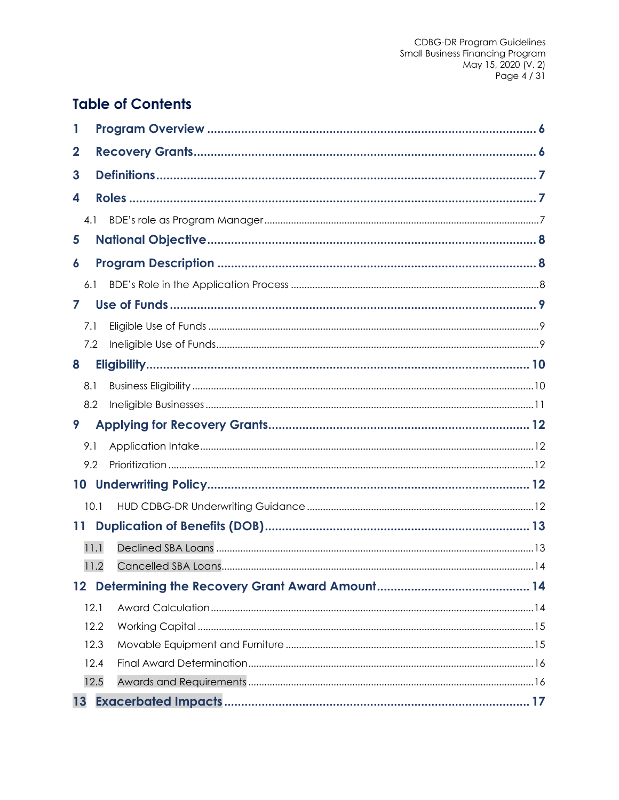## **Table of Contents**

| ı           |      |  |  |  |  |
|-------------|------|--|--|--|--|
| $\mathbf 2$ |      |  |  |  |  |
| 3           |      |  |  |  |  |
| 4           |      |  |  |  |  |
| 4.1         |      |  |  |  |  |
| 5           |      |  |  |  |  |
| 6           |      |  |  |  |  |
| 6.1         |      |  |  |  |  |
| 7           |      |  |  |  |  |
| 7.1         |      |  |  |  |  |
| 7.2         |      |  |  |  |  |
| 8           |      |  |  |  |  |
| 8.1         |      |  |  |  |  |
| 8.2         |      |  |  |  |  |
| 9           |      |  |  |  |  |
| 9.1         |      |  |  |  |  |
| 9.2         |      |  |  |  |  |
| 10          |      |  |  |  |  |
|             | 10.1 |  |  |  |  |
| 11          |      |  |  |  |  |
|             | 11.1 |  |  |  |  |
|             | 11.2 |  |  |  |  |
|             |      |  |  |  |  |
|             | 12.1 |  |  |  |  |
|             | 12.2 |  |  |  |  |
|             | 12.3 |  |  |  |  |
|             | 12.4 |  |  |  |  |
|             | 12.5 |  |  |  |  |
| 13          |      |  |  |  |  |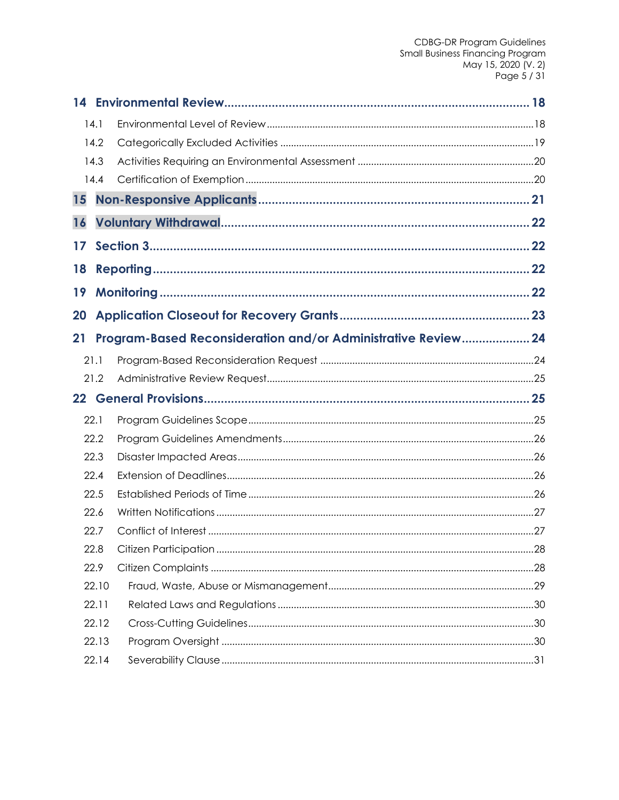|      | 14.1  |                                                               |  |  |  |  |
|------|-------|---------------------------------------------------------------|--|--|--|--|
|      | 14.2  |                                                               |  |  |  |  |
|      | 14.3  |                                                               |  |  |  |  |
|      | 14.4  |                                                               |  |  |  |  |
| 15   |       |                                                               |  |  |  |  |
| 16   |       |                                                               |  |  |  |  |
| 17   |       |                                                               |  |  |  |  |
| 18   |       |                                                               |  |  |  |  |
| 19   |       |                                                               |  |  |  |  |
| 20   |       |                                                               |  |  |  |  |
|      |       |                                                               |  |  |  |  |
| 21   |       | Program-Based Reconsideration and/or Administrative Review 24 |  |  |  |  |
| 21.1 |       |                                                               |  |  |  |  |
|      | 21.2  |                                                               |  |  |  |  |
|      |       |                                                               |  |  |  |  |
| 22.1 |       |                                                               |  |  |  |  |
|      | 22.2  |                                                               |  |  |  |  |
|      | 22.3  |                                                               |  |  |  |  |
|      | 22.4  |                                                               |  |  |  |  |
|      | 22.5  |                                                               |  |  |  |  |
|      | 22.6  |                                                               |  |  |  |  |
|      | 22.7  |                                                               |  |  |  |  |
|      | 22.8  |                                                               |  |  |  |  |
|      | 22.9  |                                                               |  |  |  |  |
|      | 22.10 |                                                               |  |  |  |  |
|      | 22.11 |                                                               |  |  |  |  |
|      | 22.12 |                                                               |  |  |  |  |
|      | 22.13 |                                                               |  |  |  |  |
|      | 22.14 |                                                               |  |  |  |  |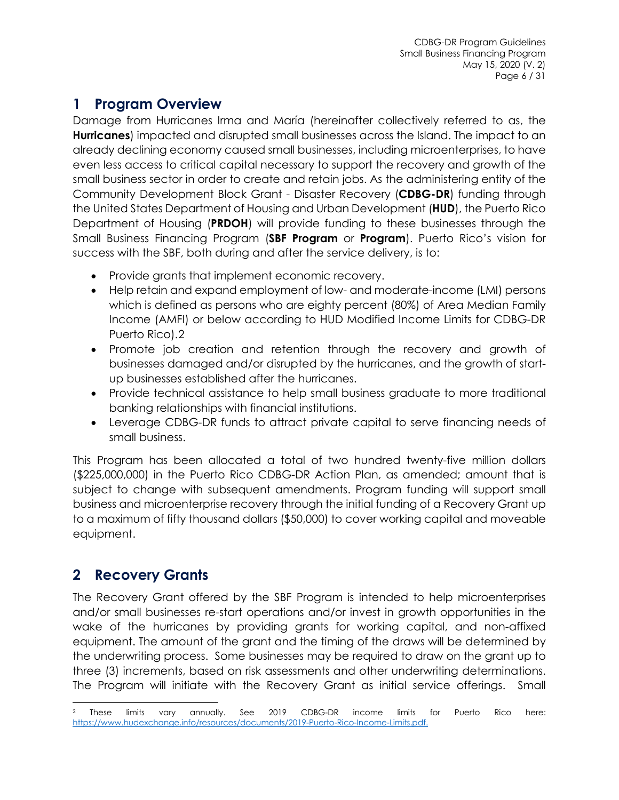## <span id="page-5-0"></span>**1 Program Overview**

Damage from Hurricanes Irma and María (hereinafter collectively referred to as, the **Hurricanes**) impacted and disrupted small businesses across the Island. The impact to an already declining economy caused small businesses, including microenterprises, to have even less access to critical capital necessary to support the recovery and growth of the small business sector in order to create and retain jobs. As the administering entity of the Community Development Block Grant - Disaster Recovery (**CDBG-DR**) funding through the United States Department of Housing and Urban Development (**HUD**), the Puerto Rico Department of Housing (**PRDOH**) will provide funding to these businesses through the Small Business Financing Program (**SBF Program** or **Program**). Puerto Rico's vision for success with the SBF, both during and after the service delivery, is to:

- Provide grants that implement economic recovery.
- Help retain and expand employment of low- and moderate-income (LMI) persons which is defined as persons who are eighty percent (80%) of Area Median Family Income (AMFI) or below according to HUD Modified Income Limits for CDBG-DR Puerto Rico)[.2](#page-5-2)
- Promote job creation and retention through the recovery and growth of businesses damaged and/or disrupted by the hurricanes, and the growth of startup businesses established after the hurricanes.
- Provide technical assistance to help small business graduate to more traditional banking relationships with financial institutions.
- Leverage CDBG-DR funds to attract private capital to serve financing needs of small business.

This Program has been allocated a total of two hundred twenty-five million dollars (\$225,000,000) in the Puerto Rico CDBG-DR Action Plan, as amended; amount that is subject to change with subsequent amendments. Program funding will support small business and microenterprise recovery through the initial funding of a Recovery Grant up to a maximum of fifty thousand dollars (\$50,000) to cover working capital and moveable equipment.

## <span id="page-5-1"></span>**2 Recovery Grants**

The Recovery Grant offered by the SBF Program is intended to help microenterprises and/or small businesses re-start operations and/or invest in growth opportunities in the wake of the hurricanes by providing grants for working capital, and non-affixed equipment. The amount of the grant and the timing of the draws will be determined by the underwriting process. Some businesses may be required to draw on the grant up to three (3) increments, based on risk assessments and other underwriting determinations. The Program will initiate with the Recovery Grant as initial service offerings. Small

<span id="page-5-2"></span> <sup>2</sup> These limits vary annually. See 2019 CDBG-DR income limits for Puerto Rico here: [https://www.hudexchange.info/resources/documents/2019-Puerto-Rico-Income-Limits.pdf.](https://www.hudexchange.info/resources/documents/2019-Puerto-Rico-Income-Limits.pdf)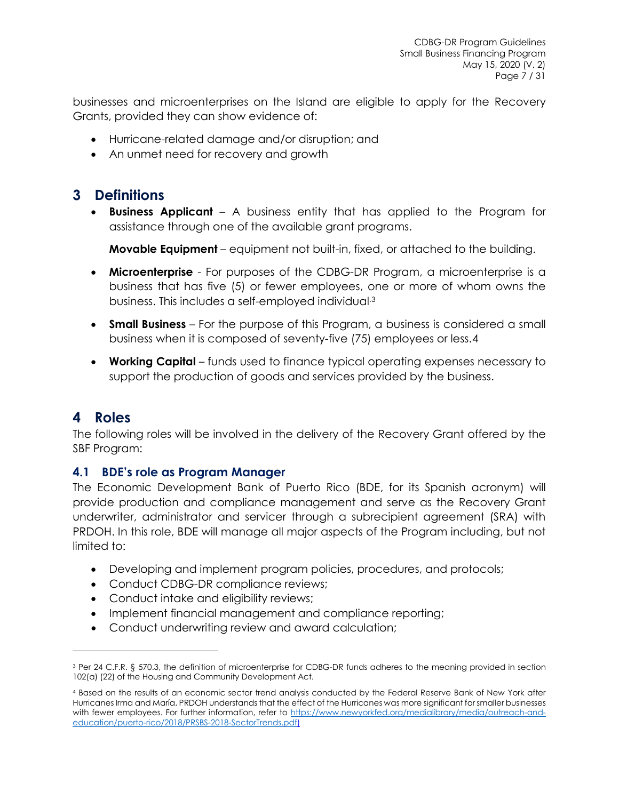businesses and microenterprises on the Island are eligible to apply for the Recovery Grants, provided they can show evidence of:

- Hurricane-related damage and/or disruption; and
- An unmet need for recovery and growth

## <span id="page-6-0"></span>**3 Definitions**

• **Business Applicant** – A business entity that has applied to the Program for assistance through one of the available grant programs.

**Movable Equipment** – equipment not built-in, fixed, or attached to the building.

- **Microenterprise** For purposes of the CDBG-DR Program, a microenterprise is a business that has five (5) or fewer employees, one or more of whom owns the business. This includes a self-employed individual.[3](#page-6-3)
- **Small Business** For the purpose of this Program, a business is considered a small business when it is composed of seventy-five (75) employees or less[.4](#page-6-4)
- **Working Capital** funds used to finance typical operating expenses necessary to support the production of goods and services provided by the business.

## <span id="page-6-1"></span>**4 Roles**

 $\overline{a}$ 

The following roles will be involved in the delivery of the Recovery Grant offered by the SBF Program:

#### <span id="page-6-2"></span>**4.1 BDE's role as Program Manager**

The Economic Development Bank of Puerto Rico (BDE, for its Spanish acronym) will provide production and compliance management and serve as the Recovery Grant underwriter, administrator and servicer through a subrecipient agreement (SRA) with PRDOH. In this role, BDE will manage all major aspects of the Program including, but not limited to:

- Developing and implement program policies, procedures, and protocols;
- Conduct CDBG-DR compliance reviews;
- Conduct intake and eligibility reviews;
- Implement financial management and compliance reporting;
- Conduct underwriting review and award calculation;

<span id="page-6-3"></span><sup>3</sup> Per 24 C.F.R. § 570.3, the definition of microenterprise for CDBG-DR funds adheres to the meaning provided in section 102(a) (22) of the Housing and Community Development Act.

<span id="page-6-4"></span><sup>4</sup> Based on the results of an economic sector trend analysis conducted by the Federal Reserve Bank of New York after Hurricanes Irma and María, PRDOH understands that the effect of the Hurricanes was more significant for smaller businesses with fewer employees. For further information, refer to [https://www.newyorkfed.org/medialibrary/media/outreach-and](https://www.newyorkfed.org/medialibrary/media/outreach-and-education/puerto-rico/2018/PRSBS-2018-SectorTrends.pdf)[education/puerto-rico/2018/PRSBS-2018-SectorTrends.pdf\)](https://www.newyorkfed.org/medialibrary/media/outreach-and-education/puerto-rico/2018/PRSBS-2018-SectorTrends.pdf)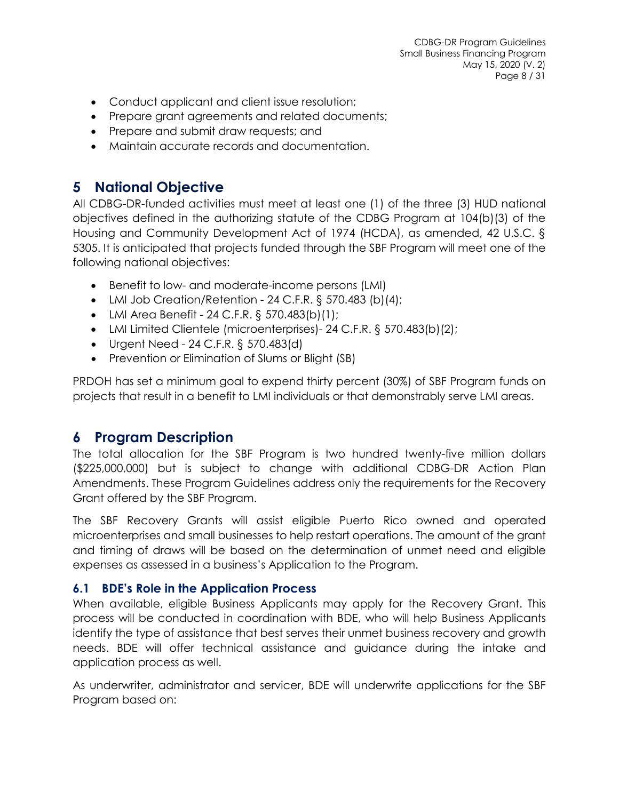- Conduct applicant and client issue resolution;
- Prepare grant agreements and related documents;
- Prepare and submit draw requests; and
- Maintain accurate records and documentation.

## <span id="page-7-0"></span>**5 National Objective**

All CDBG-DR-funded activities must meet at least one (1) of the three (3) HUD national objectives defined in the authorizing statute of the CDBG Program at 104(b)(3) of the Housing and Community Development Act of 1974 (HCDA), as amended, 42 U.S.C. § 5305. It is anticipated that projects funded through the SBF Program will meet one of the following national objectives:

- Benefit to low- and moderate-income persons (LMI)
- LMI Job Creation/Retention 24 C.F.R.  $\S$  570.483 (b)(4);
- LMI Area Benefit 24 C.F.R.  $\S$  570.483(b)(1);
- LMI Limited Clientele (microenterprises) 24 C.F.R. § 570.483(b)(2);
- Urgent Need 24 C.F.R. § 570.483(d)
- Prevention or Elimination of Slums or Blight (SB)

PRDOH has set a minimum goal to expend thirty percent (30%) of SBF Program funds on projects that result in a benefit to LMI individuals or that demonstrably serve LMI areas.

## <span id="page-7-1"></span>**6 Program Description**

The total allocation for the SBF Program is two hundred twenty-five million dollars (\$225,000,000) but is subject to change with additional CDBG-DR Action Plan Amendments. These Program Guidelines address only the requirements for the Recovery Grant offered by the SBF Program.

The SBF Recovery Grants will assist eligible Puerto Rico owned and operated microenterprises and small businesses to help restart operations. The amount of the grant and timing of draws will be based on the determination of unmet need and eligible expenses as assessed in a business's Application to the Program.

#### <span id="page-7-2"></span>**6.1 BDE's Role in the Application Process**

When available, eligible Business Applicants may apply for the Recovery Grant. This process will be conducted in coordination with BDE, who will help Business Applicants identify the type of assistance that best serves their unmet business recovery and growth needs. BDE will offer technical assistance and guidance during the intake and application process as well.

As underwriter, administrator and servicer, BDE will underwrite applications for the SBF Program based on: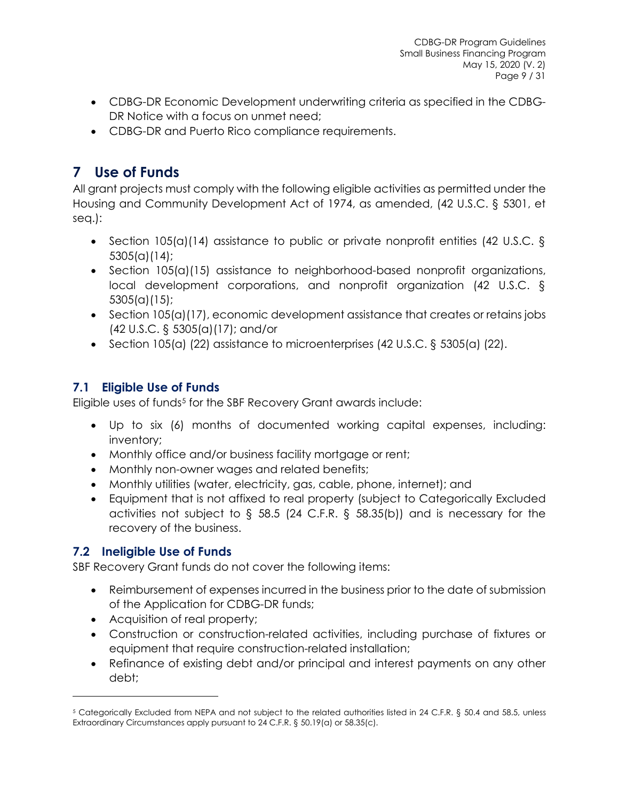- CDBG-DR Economic Development underwriting criteria as specified in the CDBG-DR Notice with a focus on unmet need;
- CDBG-DR and Puerto Rico compliance requirements.

## <span id="page-8-0"></span>**7 Use of Funds**

All grant projects must comply with the following eligible activities as permitted under the Housing and Community Development Act of 1974, as amended, (42 U.S.C. § 5301, et seq.):

- Section 105(a)(14) assistance to public or private nonprofit entities (42 U.S.C.  $\S$ 5305(a)(14);
- Section 105(a)(15) assistance to neighborhood-based nonprofit organizations, local development corporations, and nonprofit organization (42 U.S.C. § 5305(a)(15);
- Section 105(a)(17), economic development assistance that creates or retains jobs (42 U.S.C. § 5305(a)(17); and/or
- Section 105(a) (22) assistance to microenterprises (42 U.S.C. § 5305(a) (22).

#### <span id="page-8-1"></span>**7.1 Eligible Use of Funds**

Eligible uses of funds<sup>[5](#page-8-3)</sup> for the SBF Recovery Grant awards include:

- Up to six (6) months of documented working capital expenses, including: inventory;
- Monthly office and/or business facility mortgage or rent;
- Monthly non-owner wages and related benefits;
- Monthly utilities (water, electricity, gas, cable, phone, internet); and
- Equipment that is not affixed to real property (subject to Categorically Excluded activities not subject to § 58.5 (24 C.F.R. § 58.35(b)) and is necessary for the recovery of the business.

## <span id="page-8-2"></span>**7.2 Ineligible Use of Funds**

 $\overline{a}$ 

SBF Recovery Grant funds do not cover the following items:

- Reimbursement of expenses incurred in the business prior to the date of submission of the Application for CDBG-DR funds;
- Acquisition of real property;
- Construction or construction-related activities, including purchase of fixtures or equipment that require construction-related installation;
- Refinance of existing debt and/or principal and interest payments on any other debt;

<span id="page-8-3"></span><sup>5</sup> Categorically Excluded from NEPA and not subject to the related authorities listed in 24 C.F.R. § 50.4 and 58.5, unless Extraordinary Circumstances apply pursuant to 24 C.F.R. § 50.19(a) or 58.35(c).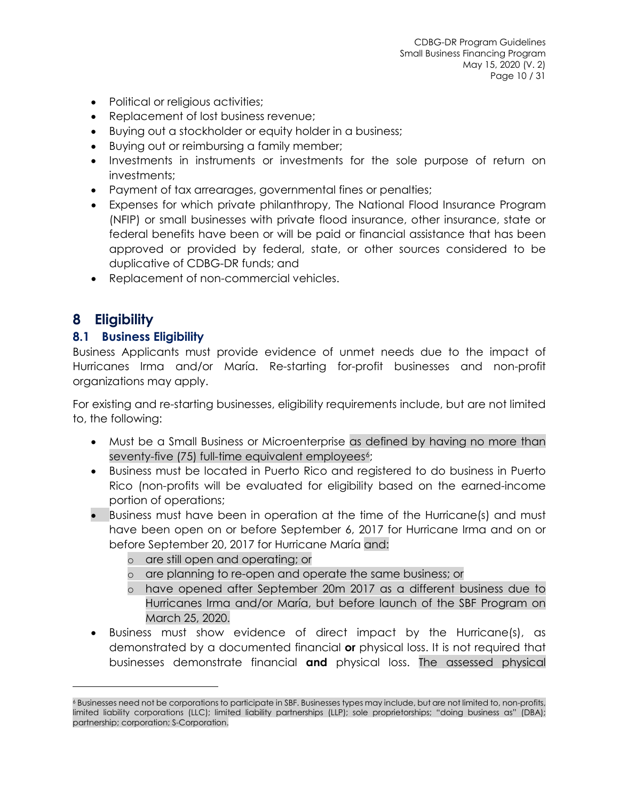- Political or religious activities;
- Replacement of lost business revenue;
- Buying out a stockholder or equity holder in a business;
- Buying out or reimbursing a family member;
- Investments in instruments or investments for the sole purpose of return on investments;
- Payment of tax arrearages, governmental fines or penalties;
- Expenses for which private philanthropy, The National Flood Insurance Program (NFIP) or small businesses with private flood insurance, other insurance, state or federal benefits have been or will be paid or financial assistance that has been approved or provided by federal, state, or other sources considered to be duplicative of CDBG-DR funds; and
- Replacement of non-commercial vehicles.

## <span id="page-9-0"></span>**8 Eligibility**

 $\overline{a}$ 

#### <span id="page-9-1"></span>**8.1 Business Eligibility**

Business Applicants must provide evidence of unmet needs due to the impact of Hurricanes Irma and/or María. Re-starting for-profit businesses and non-profit organizations may apply.

For existing and re-starting businesses, eligibility requirements include, but are not limited to, the following:

- Must be a Small Business or Microenterprise as defined by having no more than seventy-five (75) full-time equivalent employees<sup>6</sup>;
- Business must be located in Puerto Rico and registered to do business in Puerto Rico (non-profits will be evaluated for eligibility based on the earned-income portion of operations;
- Business must have been in operation at the time of the Hurricane(s) and must have been open on or before September 6, 2017 for Hurricane Irma and on or before September 20, 2017 for Hurricane María and:
	- o are still open and operating; or
	- o are planning to re-open and operate the same business; or
	- o have opened after September 20m 2017 as a different business due to Hurricanes Irma and/or María, but before launch of the SBF Program on March 25, 2020.
- Business must show evidence of direct impact by the Hurricane(s), as demonstrated by a documented financial **or** physical loss. It is not required that businesses demonstrate financial **and** physical loss. The assessed physical

<span id="page-9-2"></span><sup>6</sup> Businesses need not be corporations to participate in SBF. Businesses types may include, but are not limited to, non-profits, limited liability corporations (LLC); limited liability partnerships (LLP); sole proprietorships; "doing business as" (DBA); partnership; corporation; S-Corporation.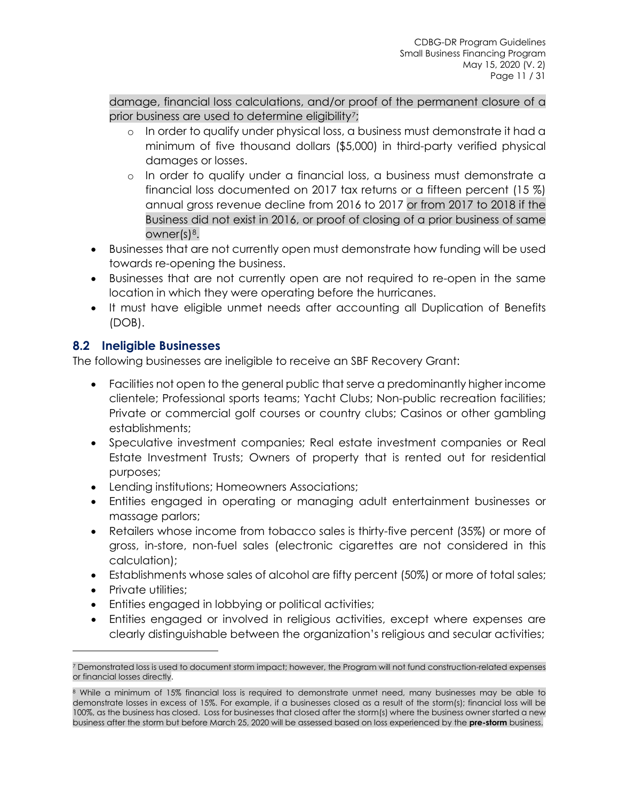damage, financial loss calculations, and/or proof of the permanent closure of a prior business are used to determine eligibility<sup>7</sup>;

- o In order to qualify under physical loss, a business must demonstrate it had a minimum of five thousand dollars (\$5,000) in third-party verified physical damages or losses.
- o In order to qualify under a financial loss, a business must demonstrate a financial loss documented on 2017 tax returns or a fifteen percent (15 %) annual gross revenue decline from 2016 to 2017 or from 2017 to 2018 if the Business did not exist in 2016, or proof of closing of a prior business of same owner(s)<sup>[8](#page-10-2)</sup>.
- Businesses that are not currently open must demonstrate how funding will be used towards re-opening the business.
- Businesses that are not currently open are not required to re-open in the same location in which they were operating before the hurricanes.
- It must have eligible unmet needs after accounting all Duplication of Benefits (DOB).

#### <span id="page-10-0"></span>**8.2 Ineligible Businesses**

The following businesses are ineligible to receive an SBF Recovery Grant:

- Facilities not open to the general public that serve a predominantly higher income clientele; Professional sports teams; Yacht Clubs; Non-public recreation facilities; Private or commercial golf courses or country clubs; Casinos or other gambling establishments;
- Speculative investment companies; Real estate investment companies or Real Estate Investment Trusts; Owners of property that is rented out for residential purposes;
- Lending institutions; Homeowners Associations;
- Entities engaged in operating or managing adult entertainment businesses or massage parlors;
- Retailers whose income from tobacco sales is thirty-five percent (35%) or more of gross, in-store, non-fuel sales (electronic cigarettes are not considered in this calculation);
- Establishments whose sales of alcohol are fifty percent (50%) or more of total sales;
- Private utilities;

 $\overline{a}$ 

- Entities engaged in lobbying or political activities;
- Entities engaged or involved in religious activities, except where expenses are clearly distinguishable between the organization's religious and secular activities;

<span id="page-10-1"></span><sup>7</sup> Demonstrated loss is used to document storm impact; however, the Program will not fund construction-related expenses or financial losses directly.

<span id="page-10-2"></span><sup>&</sup>lt;sup>8</sup> While a minimum of 15% financial loss is required to demonstrate unmet need, many businesses may be able to demonstrate losses in excess of 15%. For example, if a businesses closed as a result of the storm(s); financial loss will be 100%, as the business has closed. Loss for businesses that closed after the storm(s) where the business owner started a new business after the storm but before March 25, 2020 will be assessed based on loss experienced by the **pre-storm** business.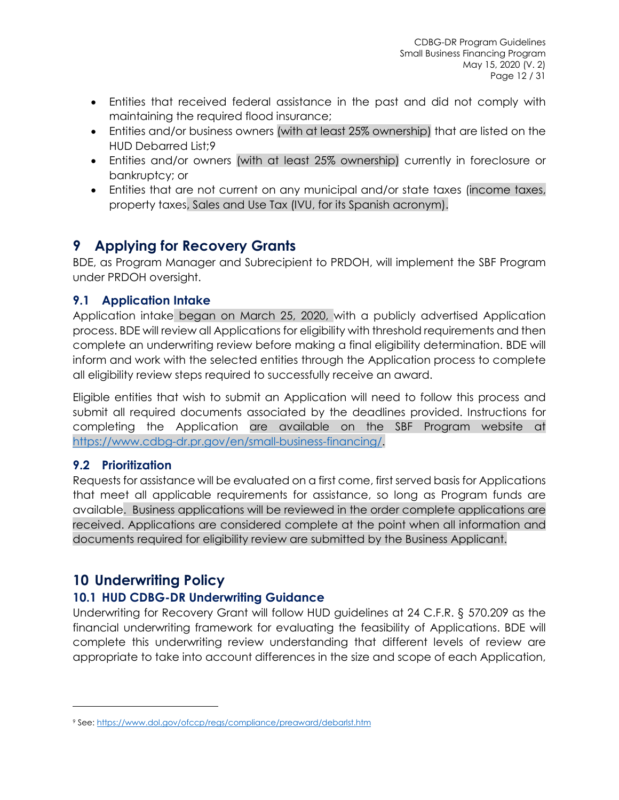- Entities that received federal assistance in the past and did not comply with maintaining the required flood insurance;
- Entities and/or business owners (with at least 25% ownership) that are listed on the HUD Debarred List[;9](#page-11-5)
- Entities and/or owners (with at least 25% ownership) currently in foreclosure or bankruptcy; or
- Entities that are not current on any municipal and/or state taxes (income taxes, property taxes, Sales and Use Tax (IVU, for its Spanish acronym).

## <span id="page-11-0"></span>**9 Applying for Recovery Grants**

BDE, as Program Manager and Subrecipient to PRDOH, will implement the SBF Program under PRDOH oversight.

#### <span id="page-11-1"></span>**9.1 Application Intake**

Application intake began on March 25, 2020, with a publicly advertised Application process. BDE will review all Applications for eligibility with threshold requirements and then complete an underwriting review before making a final eligibility determination. BDE will inform and work with the selected entities through the Application process to complete all eligibility review steps required to successfully receive an award.

Eligible entities that wish to submit an Application will need to follow this process and submit all required documents associated by the deadlines provided. Instructions for completing the Application are available on the SBF Program website at [https://www.cdbg-dr.pr.gov/en/small-business-financing/.](https://www.cdbg-dr.pr.gov/en/small-business-financing/)

#### <span id="page-11-2"></span>**9.2 Prioritization**

 $\overline{a}$ 

Requests for assistance will be evaluated on a first come, first served basis for Applications that meet all applicable requirements for assistance, so long as Program funds are available. Business applications will be reviewed in the order complete applications are received. Applications are considered complete at the point when all information and documents required for eligibility review are submitted by the Business Applicant.

## <span id="page-11-3"></span>**10 Underwriting Policy**

## <span id="page-11-4"></span>**10.1 HUD CDBG-DR Underwriting Guidance**

Underwriting for Recovery Grant will follow HUD guidelines at 24 C.F.R. § 570.209 as the financial underwriting framework for evaluating the feasibility of Applications. BDE will complete this underwriting review understanding that different levels of review are appropriate to take into account differences in the size and scope of each Application,

<span id="page-11-5"></span><sup>9</sup> See:<https://www.dol.gov/ofccp/regs/compliance/preaward/debarlst.htm>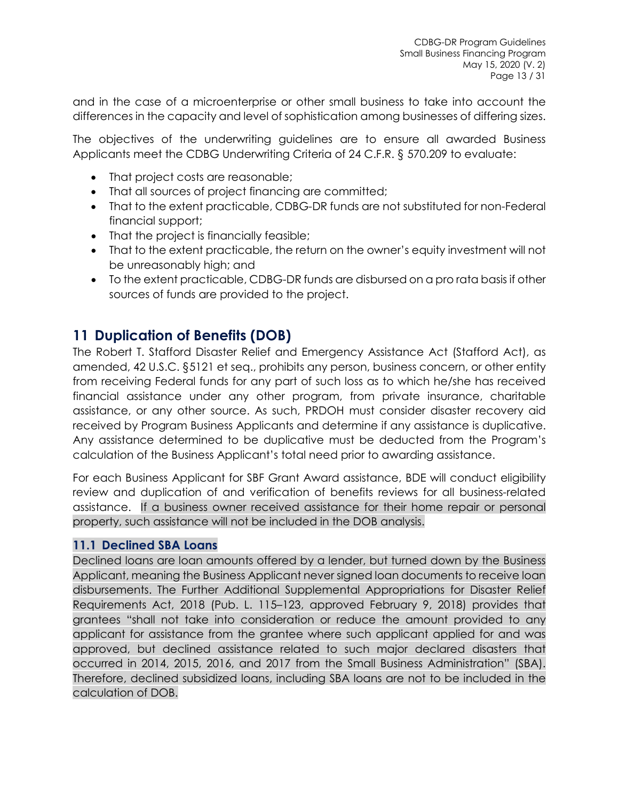and in the case of a microenterprise or other small business to take into account the differences in the capacity and level of sophistication among businesses of differing sizes.

The objectives of the underwriting guidelines are to ensure all awarded Business Applicants meet the CDBG Underwriting Criteria of 24 C.F.R. § 570.209 to evaluate:

- That project costs are reasonable;
- That all sources of project financing are committed;
- That to the extent practicable, CDBG-DR funds are not substituted for non-Federal financial support;
- That the project is financially feasible;
- That to the extent practicable, the return on the owner's equity investment will not be unreasonably high; and
- To the extent practicable, CDBG-DR funds are disbursed on a pro rata basis if other sources of funds are provided to the project.

## <span id="page-12-0"></span>**11 Duplication of Benefits (DOB)**

The Robert T. Stafford Disaster Relief and Emergency Assistance Act (Stafford Act), as amended, 42 U.S.C. §5121 et seq., prohibits any person, business concern, or other entity from receiving Federal funds for any part of such loss as to which he/she has received financial assistance under any other program, from private insurance, charitable assistance, or any other source. As such, PRDOH must consider disaster recovery aid received by Program Business Applicants and determine if any assistance is duplicative. Any assistance determined to be duplicative must be deducted from the Program's calculation of the Business Applicant's total need prior to awarding assistance.

For each Business Applicant for SBF Grant Award assistance, BDE will conduct eligibility review and duplication of and verification of benefits reviews for all business-related assistance. If a business owner received assistance for their home repair or personal property, such assistance will not be included in the DOB analysis.

#### <span id="page-12-1"></span>**11.1 Declined SBA Loans**

Declined loans are loan amounts offered by a lender, but turned down by the Business Applicant, meaning the Business Applicant never signed loan documents to receive loan disbursements. The Further Additional Supplemental Appropriations for Disaster Relief Requirements Act, 2018 (Pub. L. 115–123, approved February 9, 2018) provides that grantees "shall not take into consideration or reduce the amount provided to any applicant for assistance from the grantee where such applicant applied for and was approved, but declined assistance related to such major declared disasters that occurred in 2014, 2015, 2016, and 2017 from the Small Business Administration" (SBA). Therefore, declined subsidized loans, including SBA loans are not to be included in the calculation of DOB.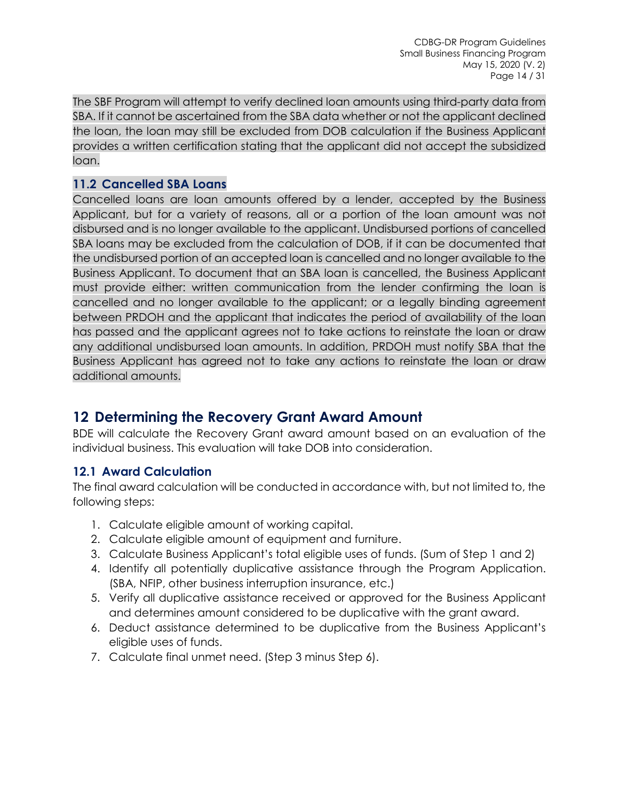The SBF Program will attempt to verify declined loan amounts using third-party data from SBA. If it cannot be ascertained from the SBA data whether or not the applicant declined the loan, the loan may still be excluded from DOB calculation if the Business Applicant provides a written certification stating that the applicant did not accept the subsidized loan.

#### <span id="page-13-0"></span>**11.2 Cancelled SBA Loans**

Cancelled loans are loan amounts offered by a lender, accepted by the Business Applicant, but for a variety of reasons, all or a portion of the loan amount was not disbursed and is no longer available to the applicant. Undisbursed portions of cancelled SBA loans may be excluded from the calculation of DOB, if it can be documented that the undisbursed portion of an accepted loan is cancelled and no longer available to the Business Applicant. To document that an SBA loan is cancelled, the Business Applicant must provide either: written communication from the lender confirming the loan is cancelled and no longer available to the applicant; or a legally binding agreement between PRDOH and the applicant that indicates the period of availability of the loan has passed and the applicant agrees not to take actions to reinstate the loan or draw any additional undisbursed loan amounts. In addition, PRDOH must notify SBA that the Business Applicant has agreed not to take any actions to reinstate the loan or draw additional amounts.

## <span id="page-13-1"></span>**12 Determining the Recovery Grant Award Amount**

BDE will calculate the Recovery Grant award amount based on an evaluation of the individual business. This evaluation will take DOB into consideration.

#### <span id="page-13-2"></span>**12.1 Award Calculation**

The final award calculation will be conducted in accordance with, but not limited to, the following steps:

- 1. Calculate eligible amount of working capital.
- 2. Calculate eligible amount of equipment and furniture.
- 3. Calculate Business Applicant's total eligible uses of funds. (Sum of Step 1 and 2)
- 4. Identify all potentially duplicative assistance through the Program Application. (SBA, NFIP, other business interruption insurance, etc.)
- 5. Verify all duplicative assistance received or approved for the Business Applicant and determines amount considered to be duplicative with the grant award.
- 6. Deduct assistance determined to be duplicative from the Business Applicant's eligible uses of funds.
- 7. Calculate final unmet need. (Step 3 minus Step 6).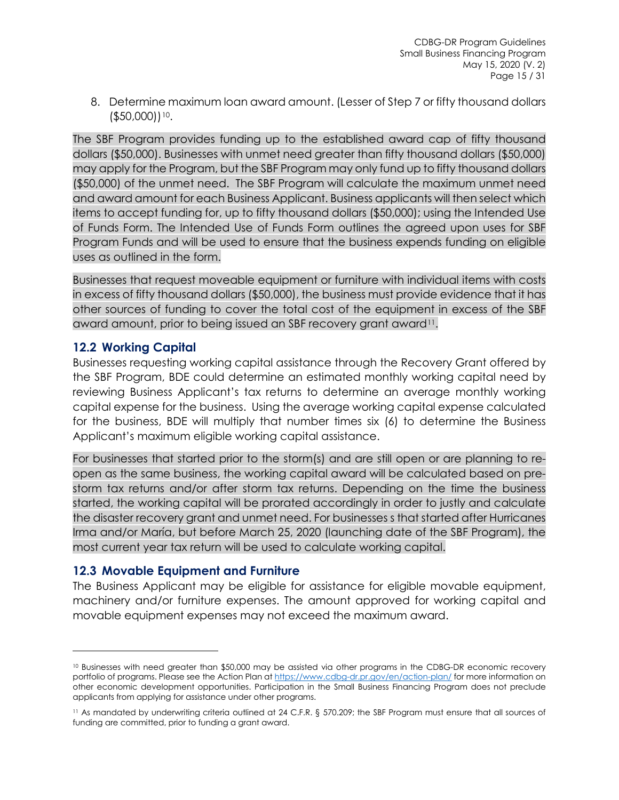8. Determine maximum loan award amount. (Lesser of Step 7 or fifty thousand dollars  $($ \$50,000) $)$ <sup>[10](#page-14-2)</sup>.

The SBF Program provides funding up to the established award cap of fifty thousand dollars (\$50,000). Businesses with unmet need greater than fifty thousand dollars (\$50,000) may apply for the Program, but the SBF Program may only fund up to fifty thousand dollars (\$50,000) of the unmet need. The SBF Program will calculate the maximum unmet need and award amount for each Business Applicant. Business applicants will then select which items to accept funding for, up to fifty thousand dollars (\$50,000); using the Intended Use of Funds Form. The Intended Use of Funds Form outlines the agreed upon uses for SBF Program Funds and will be used to ensure that the business expends funding on eligible uses as outlined in the form.

Businesses that request moveable equipment or furniture with individual items with costs in excess of fifty thousand dollars (\$50,000), the business must provide evidence that it has other sources of funding to cover the total cost of the equipment in excess of the SBF award amount, prior to being issued an SBF recovery grant award[11.](#page-14-3)

#### <span id="page-14-0"></span>**12.2 Working Capital**

 $\overline{a}$ 

Businesses requesting working capital assistance through the Recovery Grant offered by the SBF Program, BDE could determine an estimated monthly working capital need by reviewing Business Applicant's tax returns to determine an average monthly working capital expense for the business. Using the average working capital expense calculated for the business, BDE will multiply that number times six (6) to determine the Business Applicant's maximum eligible working capital assistance.

For businesses that started prior to the storm(s) and are still open or are planning to reopen as the same business, the working capital award will be calculated based on prestorm tax returns and/or after storm tax returns. Depending on the time the business started, the working capital will be prorated accordingly in order to justly and calculate the disaster recovery grant and unmet need. For businesses s that started after Hurricanes Irma and/or María, but before March 25, 2020 (launching date of the SBF Program), the most current year tax return will be used to calculate working capital.

#### <span id="page-14-1"></span>**12.3 Movable Equipment and Furniture**

The Business Applicant may be eligible for assistance for eligible movable equipment, machinery and/or furniture expenses. The amount approved for working capital and movable equipment expenses may not exceed the maximum award.

<span id="page-14-2"></span><sup>10</sup> Businesses with need greater than \$50,000 may be assisted via other programs in the CDBG-DR economic recovery portfolio of programs. Please see the Action Plan a[t https://www.cdbg-dr.pr.gov/en/action-plan/](https://www.cdbg-dr.pr.gov/en/action-plan/) for more information on other economic development opportunities. Participation in the Small Business Financing Program does not preclude applicants from applying for assistance under other programs.

<span id="page-14-3"></span><sup>11</sup> As mandated by underwriting criteria outlined at 24 C.F.R. § 570.209; the SBF Program must ensure that all sources of funding are committed, prior to funding a grant award.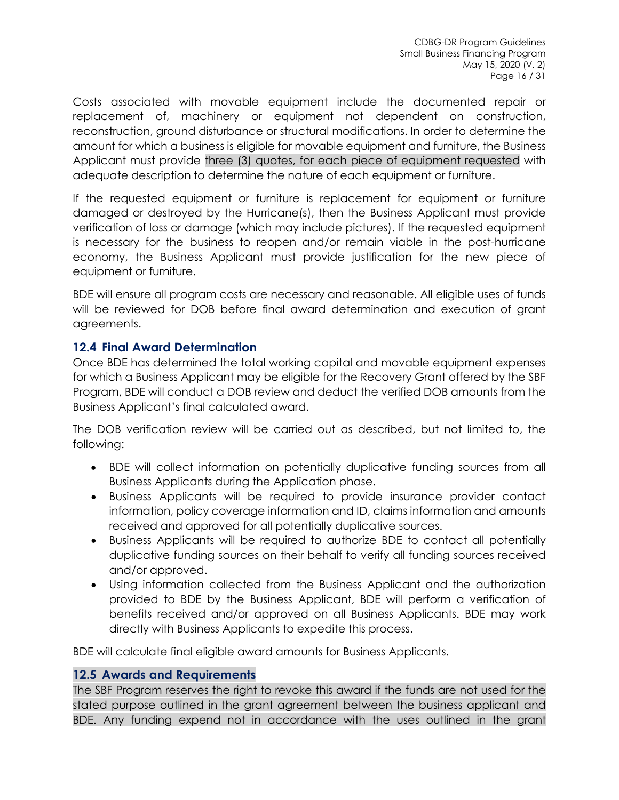Costs associated with movable equipment include the documented repair or replacement of, machinery or equipment not dependent on construction, reconstruction, ground disturbance or structural modifications. In order to determine the amount for which a business is eligible for movable equipment and furniture, the Business Applicant must provide three (3) quotes, for each piece of equipment requested with adequate description to determine the nature of each equipment or furniture.

If the requested equipment or furniture is replacement for equipment or furniture damaged or destroyed by the Hurricane(s), then the Business Applicant must provide verification of loss or damage (which may include pictures). If the requested equipment is necessary for the business to reopen and/or remain viable in the post-hurricane economy, the Business Applicant must provide justification for the new piece of equipment or furniture.

BDE will ensure all program costs are necessary and reasonable. All eligible uses of funds will be reviewed for DOB before final award determination and execution of grant agreements.

#### <span id="page-15-0"></span>**12.4 Final Award Determination**

Once BDE has determined the total working capital and movable equipment expenses for which a Business Applicant may be eligible for the Recovery Grant offered by the SBF Program, BDE will conduct a DOB review and deduct the verified DOB amounts from the Business Applicant's final calculated award.

The DOB verification review will be carried out as described, but not limited to, the following:

- BDE will collect information on potentially duplicative funding sources from all Business Applicants during the Application phase.
- Business Applicants will be required to provide insurance provider contact information, policy coverage information and ID, claims information and amounts received and approved for all potentially duplicative sources.
- Business Applicants will be required to authorize BDE to contact all potentially duplicative funding sources on their behalf to verify all funding sources received and/or approved.
- Using information collected from the Business Applicant and the authorization provided to BDE by the Business Applicant, BDE will perform a verification of benefits received and/or approved on all Business Applicants. BDE may work directly with Business Applicants to expedite this process.

BDE will calculate final eligible award amounts for Business Applicants.

#### <span id="page-15-1"></span>**12.5 Awards and Requirements**

The SBF Program reserves the right to revoke this award if the funds are not used for the stated purpose outlined in the grant agreement between the business applicant and BDE. Any funding expend not in accordance with the uses outlined in the grant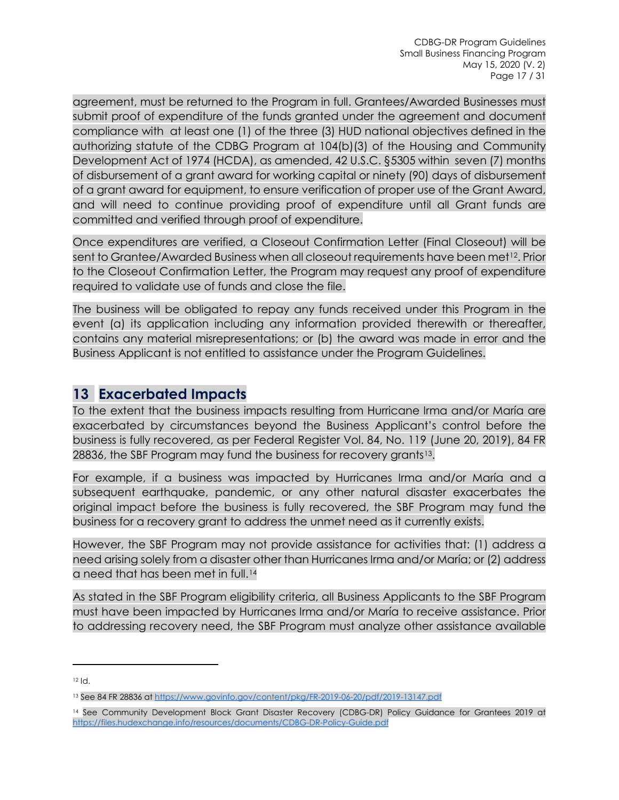agreement, must be returned to the Program in full. Grantees/Awarded Businesses must submit proof of expenditure of the funds granted under the agreement and document compliance with at least one (1) of the three (3) HUD national objectives defined in the authorizing statute of the CDBG Program at 104(b)(3) of the Housing and Community Development Act of 1974 (HCDA), as amended, 42 U.S.C. §5305 within seven (7) months of disbursement of a grant award for working capital or ninety (90) days of disbursement of a grant award for equipment, to ensure verification of proper use of the Grant Award, and will need to continue providing proof of expenditure until all Grant funds are committed and verified through proof of expenditure.

Once expenditures are verified, a Closeout Confirmation Letter (Final Closeout) will be sent to Grantee/Awarded Business when all closeout requirements have been met<sup>12</sup>. Prior to the Closeout Confirmation Letter, the Program may request any proof of expenditure required to validate use of funds and close the file.

The business will be obligated to repay any funds received under this Program in the event (a) its application including any information provided therewith or thereafter, contains any material misrepresentations; or (b) the award was made in error and the Business Applicant is not entitled to assistance under the Program Guidelines.

## <span id="page-16-0"></span>**13 Exacerbated Impacts**

To the extent that the business impacts resulting from Hurricane Irma and/or María are exacerbated by circumstances beyond the Business Applicant's control before the business is fully recovered, as per Federal Register Vol. 84, No. 119 (June 20, 2019), 84 FR 28836, the SBF Program may fund the business for recovery grants<sup>[13](#page-16-2)</sup>.

For example, if a business was impacted by Hurricanes Irma and/or María and a subsequent earthquake, pandemic, or any other natural disaster exacerbates the original impact before the business is fully recovered, the SBF Program may fund the business for a recovery grant to address the unmet need as it currently exists.

However, the SBF Program may not provide assistance for activities that: (1) address a need arising solely from a disaster other than Hurricanes Irma and/or María; or (2) address a need that has been met in full.[14](#page-16-3)

As stated in the SBF Program eligibility criteria, all Business Applicants to the SBF Program must have been impacted by Hurricanes Irma and/or María to receive assistance. Prior to addressing recovery need, the SBF Program must analyze other assistance available

 $\overline{a}$ 

<span id="page-16-1"></span> $12$  Id.

<span id="page-16-2"></span><sup>13</sup> See 84 FR 28836 a[t https://www.govinfo.gov/content/pkg/FR-2019-06-20/pdf/2019-13147.pdf](https://www.govinfo.gov/content/pkg/FR-2019-06-20/pdf/2019-13147.pdf)

<span id="page-16-3"></span><sup>14</sup> See Community Development Block Grant Disaster Recovery (CDBG-DR) Policy Guidance for Grantees 2019 at <https://files.hudexchange.info/resources/documents/CDBG-DR-Policy-Guide.pdf>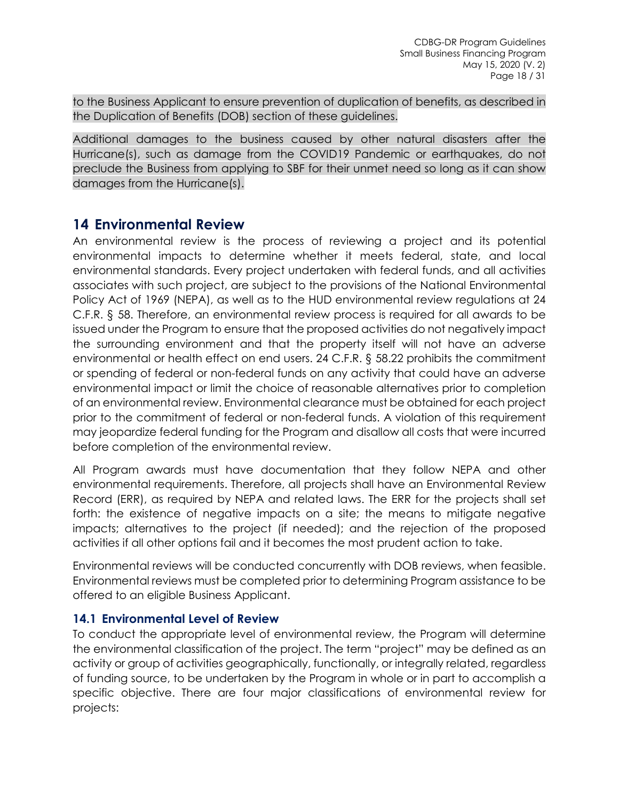to the Business Applicant to ensure prevention of duplication of benefits, as described in the Duplication of Benefits (DOB) section of these guidelines.

Additional damages to the business caused by other natural disasters after the Hurricane(s), such as damage from the COVID19 Pandemic or earthquakes, do not preclude the Business from applying to SBF for their unmet need so long as it can show damages from the Hurricane(s).

#### <span id="page-17-0"></span>**14 Environmental Review**

An environmental review is the process of reviewing a project and its potential environmental impacts to determine whether it meets federal, state, and local environmental standards. Every project undertaken with federal funds, and all activities associates with such project, are subject to the provisions of the National Environmental Policy Act of 1969 (NEPA), as well as to the HUD environmental review regulations at 24 C.F.R. § 58. Therefore, an environmental review process is required for all awards to be issued under the Program to ensure that the proposed activities do not negatively impact the surrounding environment and that the property itself will not have an adverse environmental or health effect on end users. 24 C.F.R. § 58.22 prohibits the commitment or spending of federal or non-federal funds on any activity that could have an adverse environmental impact or limit the choice of reasonable alternatives prior to completion of an environmental review. Environmental clearance must be obtained for each project prior to the commitment of federal or non-federal funds. A violation of this requirement may jeopardize federal funding for the Program and disallow all costs that were incurred before completion of the environmental review.

All Program awards must have documentation that they follow NEPA and other environmental requirements. Therefore, all projects shall have an Environmental Review Record (ERR), as required by NEPA and related laws. The ERR for the projects shall set forth: the existence of negative impacts on a site; the means to mitigate negative impacts; alternatives to the project (if needed); and the rejection of the proposed activities if all other options fail and it becomes the most prudent action to take.

Environmental reviews will be conducted concurrently with DOB reviews, when feasible. Environmental reviews must be completed prior to determining Program assistance to be offered to an eligible Business Applicant.

#### <span id="page-17-1"></span>**14.1 Environmental Level of Review**

To conduct the appropriate level of environmental review, the Program will determine the environmental classification of the project. The term "project" may be defined as an activity or group of activities geographically, functionally, or integrally related, regardless of funding source, to be undertaken by the Program in whole or in part to accomplish a specific objective. There are four major classifications of environmental review for projects: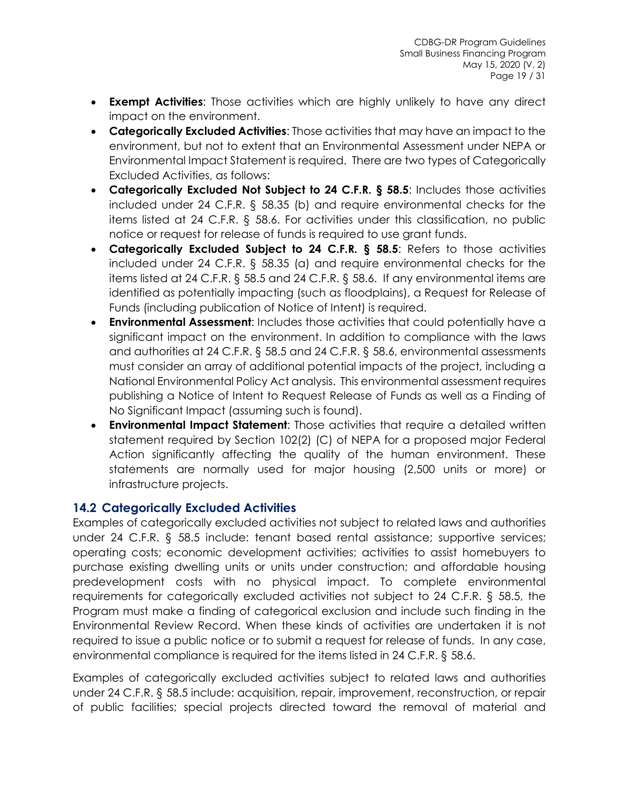- **Exempt Activities**: Those activities which are highly unlikely to have any direct impact on the environment.
- **Categorically Excluded Activities**: Those activities that may have an impact to the environment, but not to extent that an Environmental Assessment under NEPA or Environmental Impact Statement is required. There are two types of Categorically Excluded Activities, as follows:
- **Categorically Excluded Not Subject to 24 C.F.R. § 58.5**: Includes those activities included under 24 C.F.R. § 58.35 (b) and require environmental checks for the items listed at 24 C.F.R. § 58.6. For activities under this classification, no public notice or request for release of funds is required to use grant funds.
- **Categorically Excluded Subject to 24 C.F.R. § 58.5**: Refers to those activities included under 24 C.F.R. § 58.35 (a) and require environmental checks for the items listed at 24 C.F.R. § 58.5 and 24 C.F.R. § 58.6. If any environmental items are identified as potentially impacting (such as floodplains), a Request for Release of Funds (including publication of Notice of Intent) is required.
- **Environmental Assessment**: Includes those activities that could potentially have a significant impact on the environment. In addition to compliance with the laws and authorities at 24 C.F.R. § 58.5 and 24 C.F.R. § 58.6, environmental assessments must consider an array of additional potential impacts of the project, including a National Environmental Policy Act analysis. This environmental assessment requires publishing a Notice of Intent to Request Release of Funds as well as a Finding of No Significant Impact (assuming such is found).
- **Environmental Impact Statement**: Those activities that require a detailed written statement required by Section 102(2) (C) of NEPA for a proposed major Federal Action significantly affecting the quality of the human environment. These statements are normally used for major housing (2,500 units or more) or infrastructure projects.

#### <span id="page-18-0"></span>**14.2 Categorically Excluded Activities**

Examples of categorically excluded activities not subject to related laws and authorities under 24 C.F.R. § 58.5 include: tenant based rental assistance; supportive services; operating costs; economic development activities; activities to assist homebuyers to purchase existing dwelling units or units under construction; and affordable housing predevelopment costs with no physical impact. To complete environmental requirements for categorically excluded activities not subject to 24 C.F.R. § 58.5, the Program must make a finding of categorical exclusion and include such finding in the Environmental Review Record. When these kinds of activities are undertaken it is not required to issue a public notice or to submit a request for release of funds. In any case, environmental compliance is required for the items listed in 24 C.F.R. § 58.6.

Examples of categorically excluded activities subject to related laws and authorities under 24 C.F.R. § 58.5 include: acquisition, repair, improvement, reconstruction, or repair of public facilities; special projects directed toward the removal of material and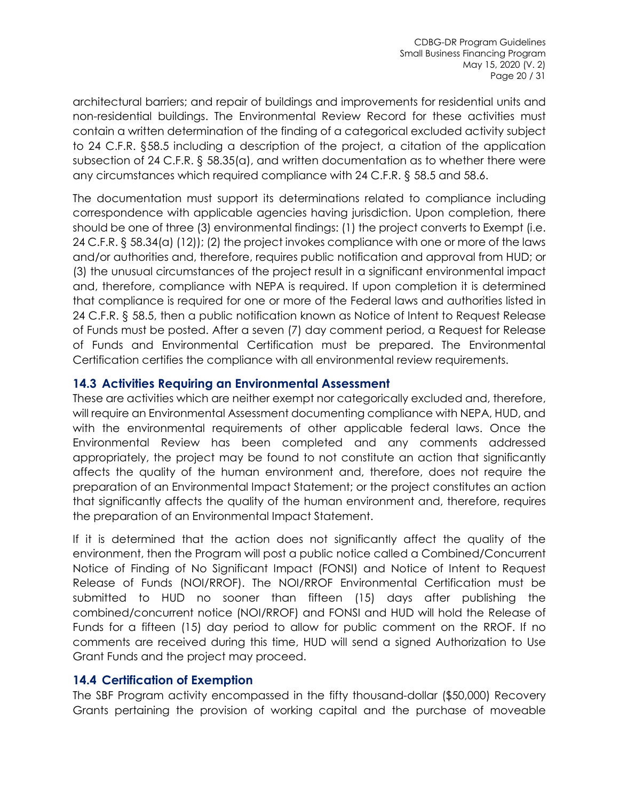architectural barriers; and repair of buildings and improvements for residential units and non-residential buildings. The Environmental Review Record for these activities must contain a written determination of the finding of a categorical excluded activity subject to 24 C.F.R. §58.5 including a description of the project, a citation of the application subsection of 24 C.F.R. § 58.35(a), and written documentation as to whether there were any circumstances which required compliance with 24 C.F.R. § 58.5 and 58.6.

The documentation must support its determinations related to compliance including correspondence with applicable agencies having jurisdiction. Upon completion, there should be one of three (3) environmental findings: (1) the project converts to Exempt (i.e. 24 C.F.R. § 58.34(a) (12)); (2) the project invokes compliance with one or more of the laws and/or authorities and, therefore, requires public notification and approval from HUD; or (3) the unusual circumstances of the project result in a significant environmental impact and, therefore, compliance with NEPA is required. If upon completion it is determined that compliance is required for one or more of the Federal laws and authorities listed in 24 C.F.R. § 58.5, then a public notification known as Notice of Intent to Request Release of Funds must be posted. After a seven (7) day comment period, a Request for Release of Funds and Environmental Certification must be prepared. The Environmental Certification certifies the compliance with all environmental review requirements.

#### <span id="page-19-0"></span>**14.3 Activities Requiring an Environmental Assessment**

These are activities which are neither exempt nor categorically excluded and, therefore, will require an Environmental Assessment documenting compliance with NEPA, HUD, and with the environmental requirements of other applicable federal laws. Once the Environmental Review has been completed and any comments addressed appropriately, the project may be found to not constitute an action that significantly affects the quality of the human environment and, therefore, does not require the preparation of an Environmental Impact Statement; or the project constitutes an action that significantly affects the quality of the human environment and, therefore, requires the preparation of an Environmental Impact Statement.

If it is determined that the action does not significantly affect the quality of the environment, then the Program will post a public notice called a Combined/Concurrent Notice of Finding of No Significant Impact (FONSI) and Notice of Intent to Request Release of Funds (NOI/RROF). The NOI/RROF Environmental Certification must be submitted to HUD no sooner than fifteen (15) days after publishing the combined/concurrent notice (NOI/RROF) and FONSI and HUD will hold the Release of Funds for a fifteen (15) day period to allow for public comment on the RROF. If no comments are received during this time, HUD will send a signed Authorization to Use Grant Funds and the project may proceed.

#### <span id="page-19-1"></span>**14.4 Certification of Exemption**

The SBF Program activity encompassed in the fifty thousand-dollar (\$50,000) Recovery Grants pertaining the provision of working capital and the purchase of moveable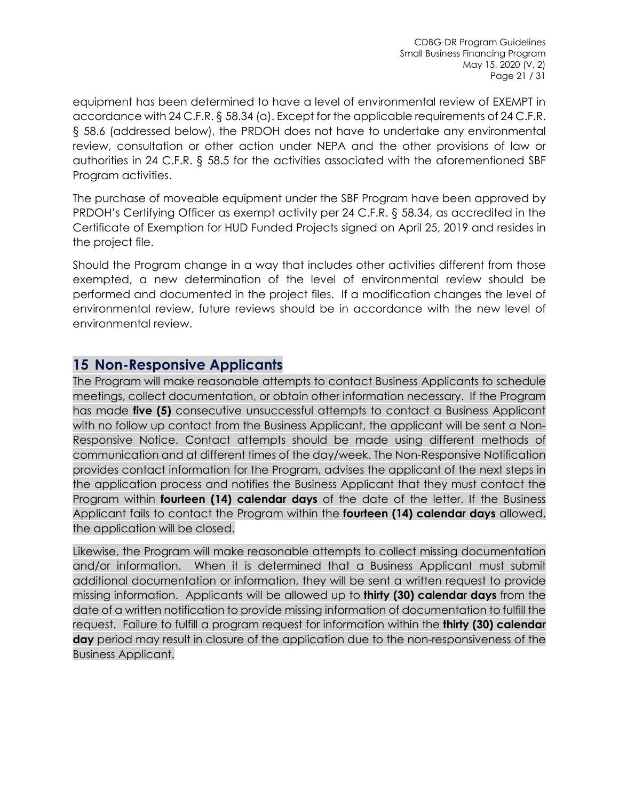equipment has been determined to have a level of environmental review of EXEMPT in accordance with 24 C.F.R. § 58.34 (a). Except for the applicable requirements of 24 C.F.R. § 58.6 (addressed below), the PRDOH does not have to undertake any environmental review, consultation or other action under NEPA and the other provisions of law or authorities in 24 C.F.R. § 58.5 for the activities associated with the aforementioned SBF Program activities.

The purchase of moveable equipment under the SBF Program have been approved by PRDOH's Certifying Officer as exempt activity per 24 C.F.R. § 58.34, as accredited in the Certificate of Exemption for HUD Funded Projects signed on April 25, 2019 and resides in the project file.

Should the Program change in a way that includes other activities different from those exempted, a new determination of the level of environmental review should be performed and documented in the project files. If a modification changes the level of environmental review, future reviews should be in accordance with the new level of environmental review.

## <span id="page-20-0"></span>**15 Non-Responsive Applicants**

The Program will make reasonable attempts to contact Business Applicants to schedule meetings, collect documentation, or obtain other information necessary. If the Program has made **five (5)** consecutive unsuccessful attempts to contact a Business Applicant with no follow up contact from the Business Applicant, the applicant will be sent a Non-Responsive Notice. Contact attempts should be made using different methods of communication and at different times of the day/week. The Non-Responsive Notification provides contact information for the Program, advises the applicant of the next steps in the application process and notifies the Business Applicant that they must contact the Program within **fourteen (14) calendar days** of the date of the letter. If the Business Applicant fails to contact the Program within the **fourteen (14) calendar days** allowed, the application will be closed.

Likewise, the Program will make reasonable attempts to collect missing documentation and/or information. When it is determined that a Business Applicant must submit additional documentation or information, they will be sent a written request to provide missing information. Applicants will be allowed up to **thirty (30) calendar days** from the date of a written notification to provide missing information of documentation to fulfill the request. Failure to fulfill a program request for information within the **thirty (30) calendar day** period may result in closure of the application due to the non-responsiveness of the Business Applicant.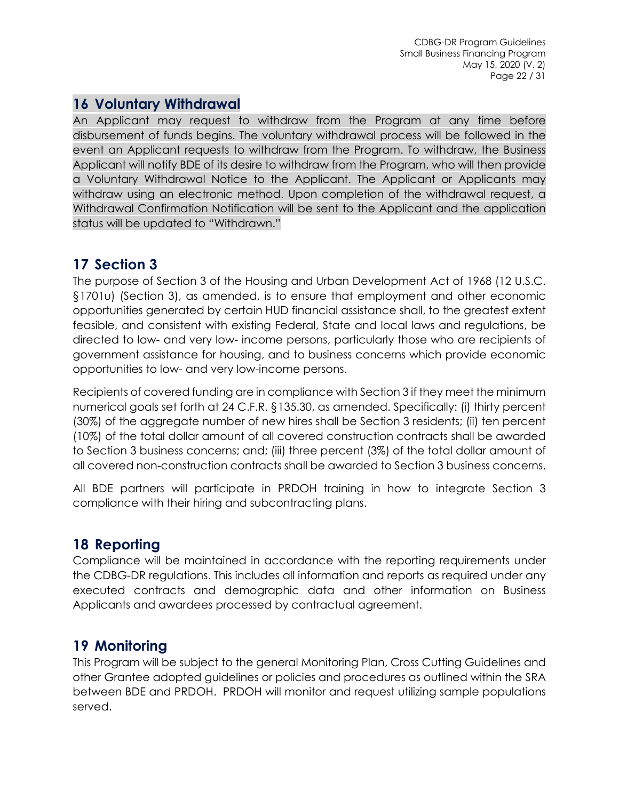## <span id="page-21-0"></span>**16 Voluntary Withdrawal**

An Applicant may request to withdraw from the Program at any time before disbursement of funds begins. The voluntary withdrawal process will be followed in the event an Applicant requests to withdraw from the Program. To withdraw, the Business Applicant will notify BDE of its desire to withdraw from the Program, who will then provide a Voluntary Withdrawal Notice to the Applicant. The Applicant or Applicants may withdraw using an electronic method. Upon completion of the withdrawal request, a Withdrawal Confirmation Notification will be sent to the Applicant and the application status will be updated to "Withdrawn."

## <span id="page-21-1"></span>**17 Section 3**

The purpose of Section 3 of the Housing and Urban Development Act of 1968 (12 U.S.C. §1701u) (Section 3), as amended, is to ensure that employment and other economic opportunities generated by certain HUD financial assistance shall, to the greatest extent feasible, and consistent with existing Federal, State and local laws and regulations, be directed to low- and very low- income persons, particularly those who are recipients of government assistance for housing, and to business concerns which provide economic opportunities to low- and very low-income persons.

Recipients of covered funding are in compliance with Section 3 if they meet the minimum numerical goals set forth at 24 C.F.R. §135.30, as amended. Specifically: (i) thirty percent (30%) of the aggregate number of new hires shall be Section 3 residents; (ii) ten percent (10%) of the total dollar amount of all covered construction contracts shall be awarded to Section 3 business concerns; and; (iii) three percent (3%) of the total dollar amount of all covered non-construction contracts shall be awarded to Section 3 business concerns.

All BDE partners will participate in PRDOH training in how to integrate Section 3 compliance with their hiring and subcontracting plans.

## <span id="page-21-2"></span>**18 Reporting**

Compliance will be maintained in accordance with the reporting requirements under the CDBG-DR regulations. This includes all information and reports as required under any executed contracts and demographic data and other information on Business Applicants and awardees processed by contractual agreement.

## <span id="page-21-3"></span>**19 Monitoring**

This Program will be subject to the general Monitoring Plan, Cross Cutting Guidelines and other Grantee adopted guidelines or policies and procedures as outlined within the SRA between BDE and PRDOH. PRDOH will monitor and request utilizing sample populations served.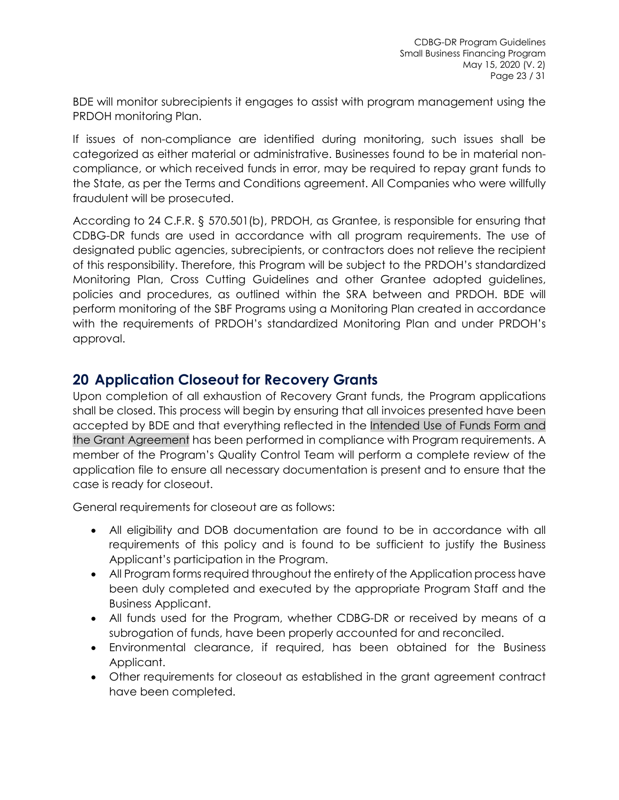BDE will monitor subrecipients it engages to assist with program management using the PRDOH monitoring Plan.

If issues of non-compliance are identified during monitoring, such issues shall be categorized as either material or administrative. Businesses found to be in material noncompliance, or which received funds in error, may be required to repay grant funds to the State, as per the Terms and Conditions agreement. All Companies who were willfully fraudulent will be prosecuted.

According to 24 C.F.R. § 570.501(b), PRDOH, as Grantee, is responsible for ensuring that CDBG-DR funds are used in accordance with all program requirements. The use of designated public agencies, subrecipients, or contractors does not relieve the recipient of this responsibility. Therefore, this Program will be subject to the PRDOH's standardized Monitoring Plan, Cross Cutting Guidelines and other Grantee adopted guidelines, policies and procedures, as outlined within the SRA between and PRDOH. BDE will perform monitoring of the SBF Programs using a Monitoring Plan created in accordance with the requirements of PRDOH's standardized Monitoring Plan and under PRDOH's approval.

## <span id="page-22-0"></span>**20 Application Closeout for Recovery Grants**

Upon completion of all exhaustion of Recovery Grant funds, the Program applications shall be closed. This process will begin by ensuring that all invoices presented have been accepted by BDE and that everything reflected in the Intended Use of Funds Form and the Grant Agreement has been performed in compliance with Program requirements. A member of the Program's Quality Control Team will perform a complete review of the application file to ensure all necessary documentation is present and to ensure that the case is ready for closeout.

General requirements for closeout are as follows:

- All eligibility and DOB documentation are found to be in accordance with all requirements of this policy and is found to be sufficient to justify the Business Applicant's participation in the Program.
- All Program forms required throughout the entirety of the Application process have been duly completed and executed by the appropriate Program Staff and the Business Applicant.
- All funds used for the Program, whether CDBG-DR or received by means of a subrogation of funds, have been properly accounted for and reconciled.
- Environmental clearance, if required, has been obtained for the Business Applicant.
- Other requirements for closeout as established in the grant agreement contract have been completed.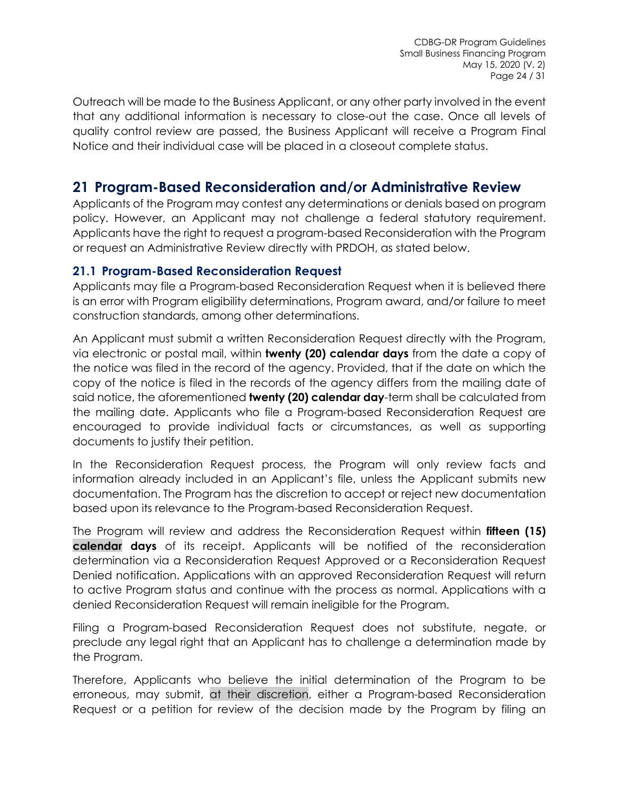Outreach will be made to the Business Applicant, or any other party involved in the event that any additional information is necessary to close-out the case. Once all levels of quality control review are passed, the Business Applicant will receive a Program Final Notice and their individual case will be placed in a closeout complete status.

### <span id="page-23-0"></span>**21 Program-Based Reconsideration and/or Administrative Review**

Applicants of the Program may contest any determinations or denials based on program policy. However, an Applicant may not challenge a federal statutory requirement. Applicants have the right to request a program-based Reconsideration with the Program or request an Administrative Review directly with PRDOH, as stated below.

#### <span id="page-23-1"></span>**21.1 Program-Based Reconsideration Request**

Applicants may file a Program-based Reconsideration Request when it is believed there is an error with Program eligibility determinations, Program award, and/or failure to meet construction standards, among other determinations.

An Applicant must submit a written Reconsideration Request directly with the Program, via electronic or postal mail, within **twenty (20) calendar days** from the date a copy of the notice was filed in the record of the agency. Provided, that if the date on which the copy of the notice is filed in the records of the agency differs from the mailing date of said notice, the aforementioned **twenty (20) calendar day**-term shall be calculated from the mailing date. Applicants who file a Program-based Reconsideration Request are encouraged to provide individual facts or circumstances, as well as supporting documents to justify their petition.

In the Reconsideration Request process, the Program will only review facts and information already included in an Applicant's file, unless the Applicant submits new documentation. The Program has the discretion to accept or reject new documentation based upon its relevance to the Program-based Reconsideration Request.

The Program will review and address the Reconsideration Request within **fifteen (15) calendar days** of its receipt. Applicants will be notified of the reconsideration determination via a Reconsideration Request Approved or a Reconsideration Request Denied notification. Applications with an approved Reconsideration Request will return to active Program status and continue with the process as normal. Applications with a denied Reconsideration Request will remain ineligible for the Program.

Filing a Program-based Reconsideration Request does not substitute, negate, or preclude any legal right that an Applicant has to challenge a determination made by the Program.

Therefore, Applicants who believe the initial determination of the Program to be erroneous, may submit, at their discretion, either a Program-based Reconsideration Request or a petition for review of the decision made by the Program by filing an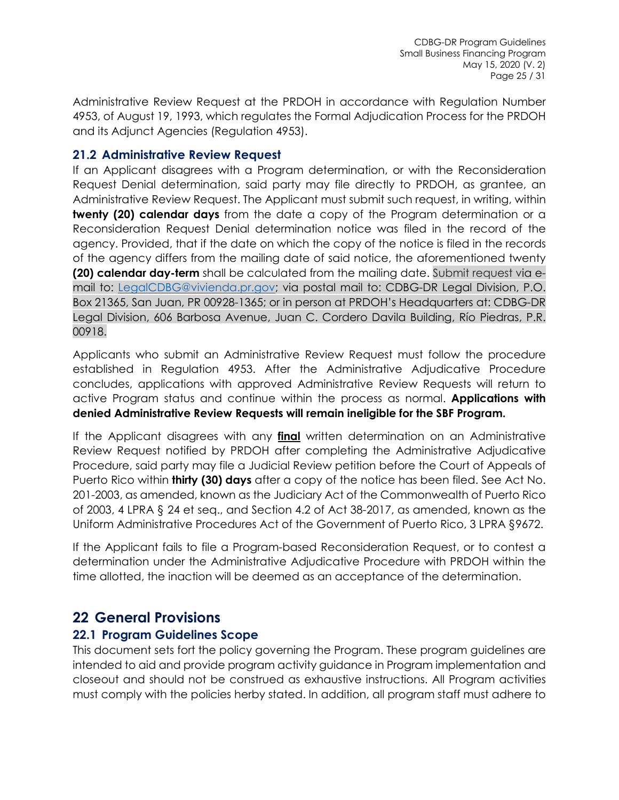Administrative Review Request at the PRDOH in accordance with Regulation Number 4953, of August 19, 1993, which regulates the Formal Adjudication Process for the PRDOH and its Adjunct Agencies (Regulation 4953).

#### <span id="page-24-0"></span>**21.2 Administrative Review Request**

If an Applicant disagrees with a Program determination, or with the Reconsideration Request Denial determination, said party may file directly to PRDOH, as grantee, an Administrative Review Request. The Applicant must submit such request, in writing, within **twenty (20) calendar days** from the date a copy of the Program determination or a Reconsideration Request Denial determination notice was filed in the record of the agency. Provided, that if the date on which the copy of the notice is filed in the records of the agency differs from the mailing date of said notice, the aforementioned twenty **(20) calendar day-term** shall be calculated from the mailing date. Submit request via email to: [LegalCDBG@vivienda.pr.gov;](mailto:LegalCDBG@vivienda.pr.gov) via postal mail to: CDBG-DR Legal Division, P.O. Box 21365, San Juan, PR 00928-1365; or in person at PRDOH's Headquarters at: CDBG-DR Legal Division, 606 Barbosa Avenue, Juan C. Cordero Davila Building, Río Piedras, P.R. 00918.

Applicants who submit an Administrative Review Request must follow the procedure established in Regulation 4953. After the Administrative Adjudicative Procedure concludes, applications with approved Administrative Review Requests will return to active Program status and continue within the process as normal. **Applications with denied Administrative Review Requests will remain ineligible for the SBF Program.**

If the Applicant disagrees with any **final** written determination on an Administrative Review Request notified by PRDOH after completing the Administrative Adjudicative Procedure, said party may file a Judicial Review petition before the Court of Appeals of Puerto Rico within **thirty (30) days** after a copy of the notice has been filed. See Act No. 201-2003, as amended, known as the Judiciary Act of the Commonwealth of Puerto Rico of 2003, 4 LPRA § 24 et seq., and Section 4.2 of Act 38-2017, as amended, known as the Uniform Administrative Procedures Act of the Government of Puerto Rico, 3 LPRA §9672.

If the Applicant fails to file a Program-based Reconsideration Request, or to contest a determination under the Administrative Adjudicative Procedure with PRDOH within the time allotted, the inaction will be deemed as an acceptance of the determination.

## <span id="page-24-1"></span>**22 General Provisions**

#### <span id="page-24-2"></span>**22.1 Program Guidelines Scope**

This document sets fort the policy governing the Program. These program guidelines are intended to aid and provide program activity guidance in Program implementation and closeout and should not be construed as exhaustive instructions. All Program activities must comply with the policies herby stated. In addition, all program staff must adhere to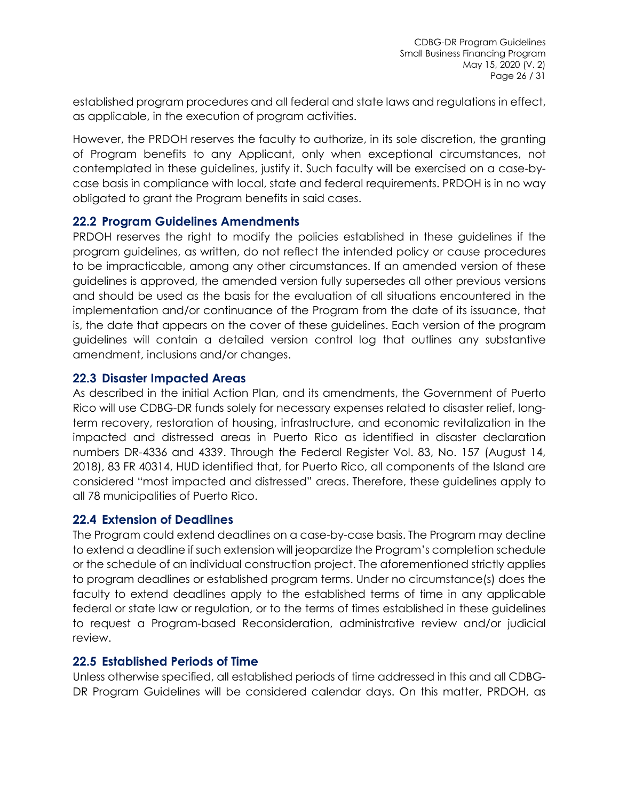established program procedures and all federal and state laws and regulations in effect, as applicable, in the execution of program activities.

However, the PRDOH reserves the faculty to authorize, in its sole discretion, the granting of Program benefits to any Applicant, only when exceptional circumstances, not contemplated in these guidelines, justify it. Such faculty will be exercised on a case-bycase basis in compliance with local, state and federal requirements. PRDOH is in no way obligated to grant the Program benefits in said cases.

#### <span id="page-25-0"></span>**22.2 Program Guidelines Amendments**

PRDOH reserves the right to modify the policies established in these guidelines if the program guidelines, as written, do not reflect the intended policy or cause procedures to be impracticable, among any other circumstances. If an amended version of these guidelines is approved, the amended version fully supersedes all other previous versions and should be used as the basis for the evaluation of all situations encountered in the implementation and/or continuance of the Program from the date of its issuance, that is, the date that appears on the cover of these guidelines. Each version of the program guidelines will contain a detailed version control log that outlines any substantive amendment, inclusions and/or changes.

#### <span id="page-25-1"></span>**22.3 Disaster Impacted Areas**

As described in the initial Action Plan, and its amendments, the Government of Puerto Rico will use CDBG-DR funds solely for necessary expenses related to disaster relief, longterm recovery, restoration of housing, infrastructure, and economic revitalization in the impacted and distressed areas in Puerto Rico as identified in disaster declaration numbers DR-4336 and 4339. Through the Federal Register Vol. 83, No. 157 (August 14, 2018), 83 FR 40314, HUD identified that, for Puerto Rico, all components of the Island are considered "most impacted and distressed" areas. Therefore, these guidelines apply to all 78 municipalities of Puerto Rico.

#### <span id="page-25-2"></span>**22.4 Extension of Deadlines**

The Program could extend deadlines on a case-by-case basis. The Program may decline to extend a deadline if such extension will jeopardize the Program's completion schedule or the schedule of an individual construction project. The aforementioned strictly applies to program deadlines or established program terms. Under no circumstance(s) does the faculty to extend deadlines apply to the established terms of time in any applicable federal or state law or regulation, or to the terms of times established in these guidelines to request a Program-based Reconsideration, administrative review and/or judicial review.

#### <span id="page-25-3"></span>**22.5 Established Periods of Time**

Unless otherwise specified, all established periods of time addressed in this and all CDBG-DR Program Guidelines will be considered calendar days. On this matter, PRDOH, as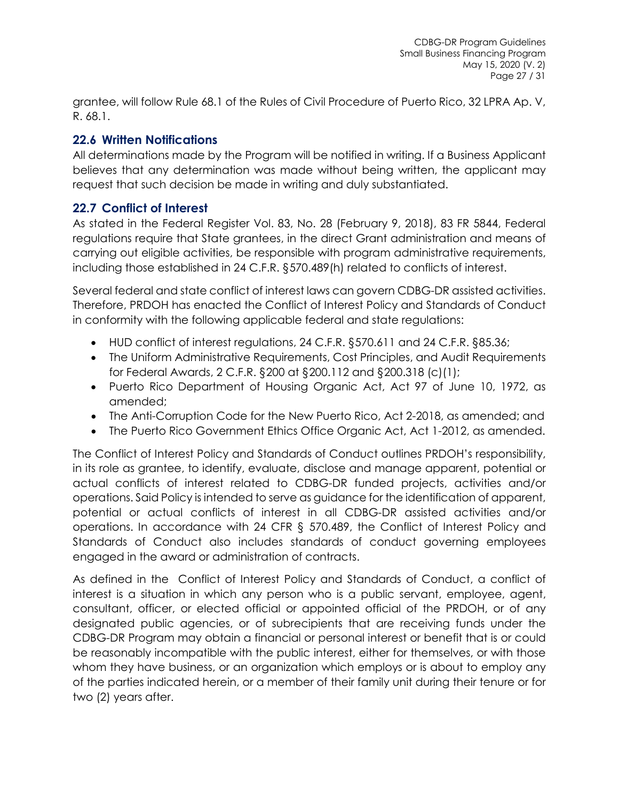grantee, will follow Rule 68.1 of the Rules of Civil Procedure of Puerto Rico, 32 LPRA Ap. V, R. 68.1.

#### <span id="page-26-0"></span>**22.6 Written Notifications**

All determinations made by the Program will be notified in writing. If a Business Applicant believes that any determination was made without being written, the applicant may request that such decision be made in writing and duly substantiated.

#### <span id="page-26-1"></span>**22.7 Conflict of Interest**

As stated in the Federal Register Vol. 83, No. 28 (February 9, 2018), 83 FR 5844, Federal regulations require that State grantees, in the direct Grant administration and means of carrying out eligible activities, be responsible with program administrative requirements, including those established in 24 C.F.R. §570.489(h) related to conflicts of interest.

Several federal and state conflict of interest laws can govern CDBG-DR assisted activities. Therefore, PRDOH has enacted the Conflict of Interest Policy and Standards of Conduct in conformity with the following applicable federal and state regulations:

- HUD conflict of interest regulations, 24 C.F.R. §570.611 and 24 C.F.R. §85.36;
- The Uniform Administrative Requirements, Cost Principles, and Audit Requirements for Federal Awards, 2 C.F.R. §200 at §200.112 and §200.318 (c)(1);
- Puerto Rico Department of Housing Organic Act, Act 97 of June 10, 1972, as amended;
- The Anti-Corruption Code for the New Puerto Rico, Act 2-2018, as amended; and
- The Puerto Rico Government Ethics Office Organic Act, Act 1-2012, as amended.

The Conflict of Interest Policy and Standards of Conduct outlines PRDOH's responsibility, in its role as grantee, to identify, evaluate, disclose and manage apparent, potential or actual conflicts of interest related to CDBG-DR funded projects, activities and/or operations. Said Policy is intended to serve as guidance for the identification of apparent, potential or actual conflicts of interest in all CDBG-DR assisted activities and/or operations. In accordance with 24 CFR § 570.489, the Conflict of Interest Policy and Standards of Conduct also includes standards of conduct governing employees engaged in the award or administration of contracts.

As defined in the Conflict of Interest Policy and Standards of Conduct, a conflict of interest is a situation in which any person who is a public servant, employee, agent, consultant, officer, or elected official or appointed official of the PRDOH, or of any designated public agencies, or of subrecipients that are receiving funds under the CDBG-DR Program may obtain a financial or personal interest or benefit that is or could be reasonably incompatible with the public interest, either for themselves, or with those whom they have business, or an organization which employs or is about to employ any of the parties indicated herein, or a member of their family unit during their tenure or for two (2) years after.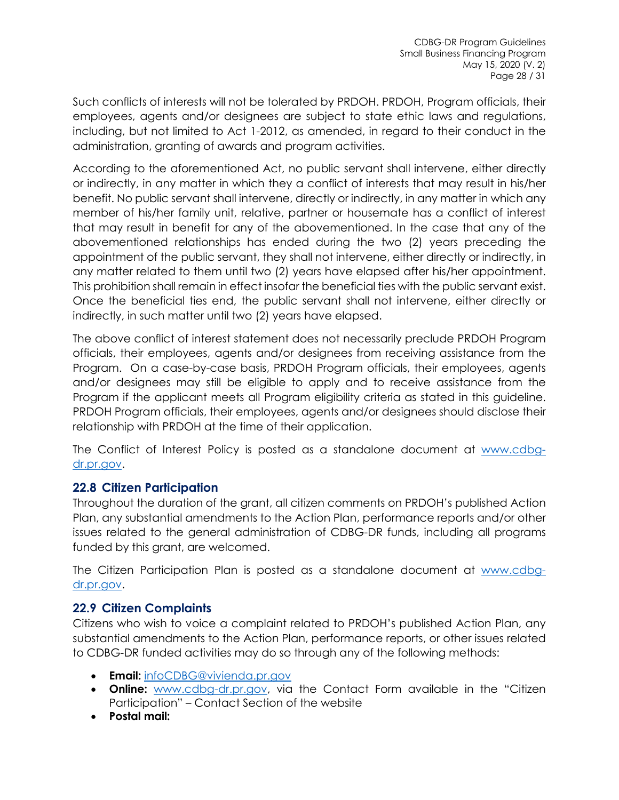Such conflicts of interests will not be tolerated by PRDOH. PRDOH, Program officials, their employees, agents and/or designees are subject to state ethic laws and regulations, including, but not limited to Act 1-2012, as amended, in regard to their conduct in the administration, granting of awards and program activities.

According to the aforementioned Act, no public servant shall intervene, either directly or indirectly, in any matter in which they a conflict of interests that may result in his/her benefit. No public servant shall intervene, directly or indirectly, in any matter in which any member of his/her family unit, relative, partner or housemate has a conflict of interest that may result in benefit for any of the abovementioned. In the case that any of the abovementioned relationships has ended during the two (2) years preceding the appointment of the public servant, they shall not intervene, either directly or indirectly, in any matter related to them until two (2) years have elapsed after his/her appointment. This prohibition shall remain in effect insofar the beneficial ties with the public servant exist. Once the beneficial ties end, the public servant shall not intervene, either directly or indirectly, in such matter until two (2) years have elapsed.

The above conflict of interest statement does not necessarily preclude PRDOH Program officials, their employees, agents and/or designees from receiving assistance from the Program. On a case-by-case basis, PRDOH Program officials, their employees, agents and/or designees may still be eligible to apply and to receive assistance from the Program if the applicant meets all Program eligibility criteria as stated in this guideline. PRDOH Program officials, their employees, agents and/or designees should disclose their relationship with PRDOH at the time of their application.

The Conflict of Interest Policy is posted as a standalone document at [www.cdbg](http://www.cdbg-dr.pr.gov/)[dr.pr.gov.](http://www.cdbg-dr.pr.gov/)

#### <span id="page-27-0"></span>**22.8 Citizen Participation**

Throughout the duration of the grant, all citizen comments on PRDOH's published Action Plan, any substantial amendments to the Action Plan, performance reports and/or other issues related to the general administration of CDBG-DR funds, including all programs funded by this grant, are welcomed.

The Citizen Participation Plan is posted as a standalone document at [www.cdbg](http://www.cdbg-dr.pr.gov/)[dr.pr.gov.](http://www.cdbg-dr.pr.gov/)

#### <span id="page-27-1"></span>**22.9 Citizen Complaints**

Citizens who wish to voice a complaint related to PRDOH's published Action Plan, any substantial amendments to the Action Plan, performance reports, or other issues related to CDBG-DR funded activities may do so through any of the following methods:

- **Email:** [infoCDBG@vivienda.pr.gov](mailto:infoCDBG@vivienda.pr.gov)
- **Online:** [www.cdbg-dr.pr.gov,](http://www.cdbg-dr.pr.gov/) via the Contact Form available in the "Citizen Participation" – Contact Section of the website
- **Postal mail:**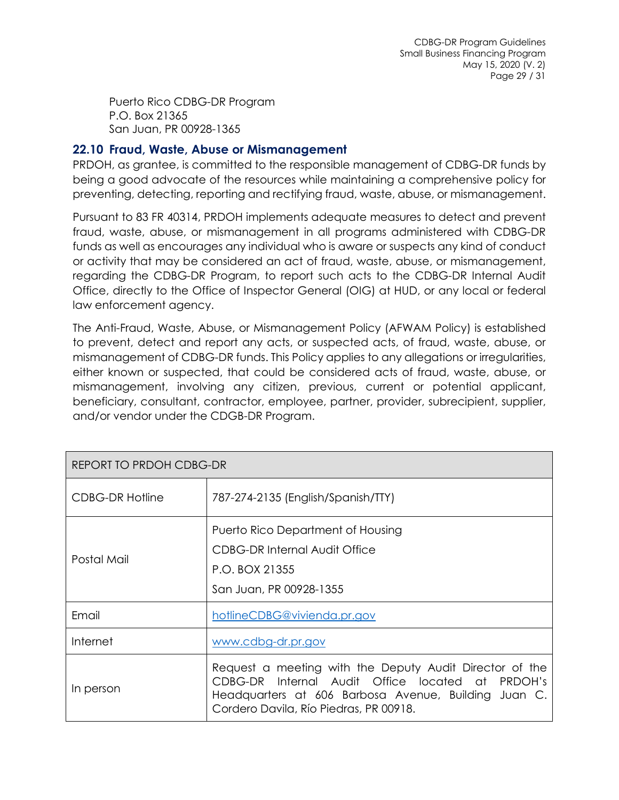Puerto Rico CDBG-DR Program P.O. Box 21365 San Juan, PR 00928-1365

#### <span id="page-28-0"></span>**22.10 Fraud, Waste, Abuse or Mismanagement**

PRDOH, as grantee, is committed to the responsible management of CDBG-DR funds by being a good advocate of the resources while maintaining a comprehensive policy for preventing, detecting, reporting and rectifying fraud, waste, abuse, or mismanagement.

Pursuant to 83 FR 40314, PRDOH implements adequate measures to detect and prevent fraud, waste, abuse, or mismanagement in all programs administered with CDBG-DR funds as well as encourages any individual who is aware or suspects any kind of conduct or activity that may be considered an act of fraud, waste, abuse, or mismanagement, regarding the CDBG-DR Program, to report such acts to the CDBG-DR Internal Audit Office, directly to the Office of Inspector General (OIG) at HUD, or any local or federal law enforcement agency.

The Anti-Fraud, Waste, Abuse, or Mismanagement Policy (AFWAM Policy) is established to prevent, detect and report any acts, or suspected acts, of fraud, waste, abuse, or mismanagement of CDBG-DR funds. This Policy applies to any allegations or irregularities, either known or suspected, that could be considered acts of fraud, waste, abuse, or mismanagement, involving any citizen, previous, current or potential applicant, beneficiary, consultant, contractor, employee, partner, provider, subrecipient, supplier, and/or vendor under the CDGB-DR Program.

| REPORT TO PRDOH CDBG-DR |                                                                                                                                                                                                               |  |  |  |  |
|-------------------------|---------------------------------------------------------------------------------------------------------------------------------------------------------------------------------------------------------------|--|--|--|--|
| <b>CDBG-DR Hotline</b>  | 787-274-2135 (English/Spanish/TTY)                                                                                                                                                                            |  |  |  |  |
| Postal Mail             | Puerto Rico Department of Housing<br><b>CDBG-DR Internal Audit Office</b><br>P.O. BOX 21355<br>San Juan, PR 00928-1355                                                                                        |  |  |  |  |
| Email                   | hotlineCDBG@vivienda.pr.gov                                                                                                                                                                                   |  |  |  |  |
| Internet                | www.cdbg-dr.pr.gov                                                                                                                                                                                            |  |  |  |  |
| In person               | Request a meeting with the Deputy Audit Director of the<br>CDBG-DR Internal Audit Office located at PRDOH's<br>Headquarters at 606 Barbosa Avenue, Building Juan C.<br>Cordero Davila, Río Piedras, PR 00918. |  |  |  |  |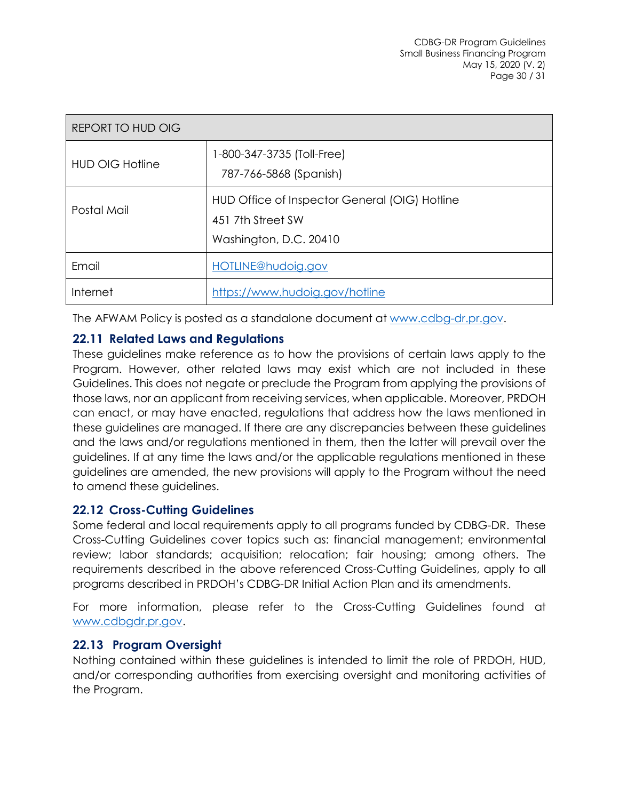| REPORT TO HUD OIG      |                                                                                              |  |  |  |  |
|------------------------|----------------------------------------------------------------------------------------------|--|--|--|--|
| <b>HUD OIG Hotline</b> | 1-800-347-3735 (Toll-Free)<br>787-766-5868 (Spanish)                                         |  |  |  |  |
| Postal Mail            | HUD Office of Inspector General (OIG) Hotline<br>451 7th Street SW<br>Washington, D.C. 20410 |  |  |  |  |
| Email                  | HOTLINE@hudoig.gov                                                                           |  |  |  |  |
| Internet               | https://www.hudoig.gov/hotline                                                               |  |  |  |  |

The AFWAM Policy is posted as a standalone document at [www.cdbg-dr.pr.gov.](http://www.cdbg-dr.pr.gov/)

#### <span id="page-29-0"></span>**22.11 Related Laws and Regulations**

These guidelines make reference as to how the provisions of certain laws apply to the Program. However, other related laws may exist which are not included in these Guidelines. This does not negate or preclude the Program from applying the provisions of those laws, nor an applicant from receiving services, when applicable. Moreover, PRDOH can enact, or may have enacted, regulations that address how the laws mentioned in these guidelines are managed. If there are any discrepancies between these guidelines and the laws and/or regulations mentioned in them, then the latter will prevail over the guidelines. If at any time the laws and/or the applicable regulations mentioned in these guidelines are amended, the new provisions will apply to the Program without the need to amend these guidelines.

#### <span id="page-29-1"></span>**22.12 Cross-Cutting Guidelines**

Some federal and local requirements apply to all programs funded by CDBG-DR. These Cross-Cutting Guidelines cover topics such as: financial management; environmental review; labor standards; acquisition; relocation; fair housing; among others. The requirements described in the above referenced Cross-Cutting Guidelines, apply to all programs described in PRDOH's CDBG-DR Initial Action Plan and its amendments.

For more information, please refer to the Cross-Cutting Guidelines found at [www.cdbgdr.pr.gov.](http://www.cdbgdr.pr.gov/)

#### <span id="page-29-2"></span>**22.13 Program Oversight**

Nothing contained within these guidelines is intended to limit the role of PRDOH, HUD, and/or corresponding authorities from exercising oversight and monitoring activities of the Program.